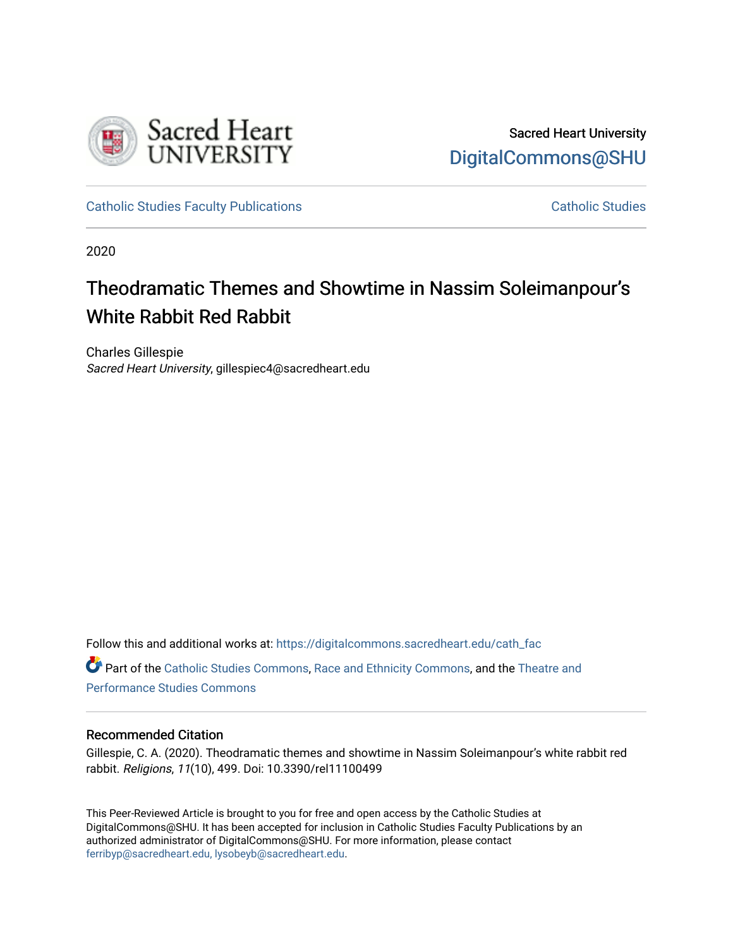

[Catholic Studies Faculty Publications](https://digitalcommons.sacredheart.edu/cath_fac) [Catholic Studies](https://digitalcommons.sacredheart.edu/cath) Catholic Studies

2020

# Theodramatic Themes and Showtime in Nassim Soleimanpour's White Rabbit Red Rabbit

Charles Gillespie Sacred Heart University, gillespiec4@sacredheart.edu

Follow this and additional works at: [https://digitalcommons.sacredheart.edu/cath\\_fac](https://digitalcommons.sacredheart.edu/cath_fac?utm_source=digitalcommons.sacredheart.edu%2Fcath_fac%2F25&utm_medium=PDF&utm_campaign=PDFCoverPages) Part of the [Catholic Studies Commons](http://network.bepress.com/hgg/discipline/1294?utm_source=digitalcommons.sacredheart.edu%2Fcath_fac%2F25&utm_medium=PDF&utm_campaign=PDFCoverPages), [Race and Ethnicity Commons,](http://network.bepress.com/hgg/discipline/426?utm_source=digitalcommons.sacredheart.edu%2Fcath_fac%2F25&utm_medium=PDF&utm_campaign=PDFCoverPages) and the [Theatre and](http://network.bepress.com/hgg/discipline/552?utm_source=digitalcommons.sacredheart.edu%2Fcath_fac%2F25&utm_medium=PDF&utm_campaign=PDFCoverPages) 

[Performance Studies Commons](http://network.bepress.com/hgg/discipline/552?utm_source=digitalcommons.sacredheart.edu%2Fcath_fac%2F25&utm_medium=PDF&utm_campaign=PDFCoverPages) 

# Recommended Citation

Gillespie, C. A. (2020). Theodramatic themes and showtime in Nassim Soleimanpour's white rabbit red rabbit. Religions, 11(10), 499. Doi: 10.3390/rel11100499

This Peer-Reviewed Article is brought to you for free and open access by the Catholic Studies at DigitalCommons@SHU. It has been accepted for inclusion in Catholic Studies Faculty Publications by an authorized administrator of DigitalCommons@SHU. For more information, please contact [ferribyp@sacredheart.edu, lysobeyb@sacredheart.edu.](mailto:ferribyp@sacredheart.edu,%20lysobeyb@sacredheart.edu)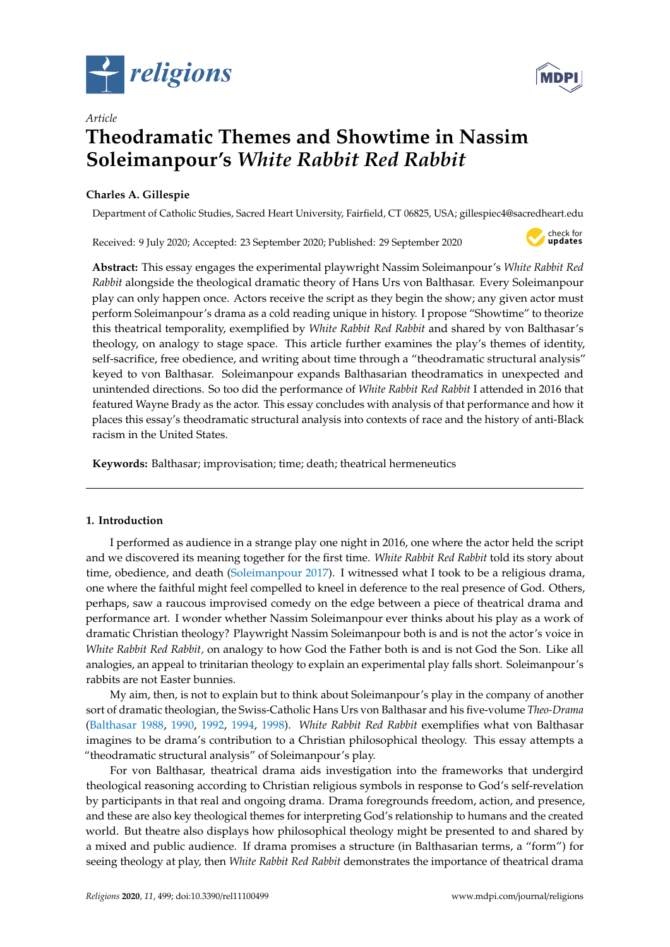



# *Article* **Theodramatic Themes and Showtime in Nassim Soleimanpour's** *White Rabbit Red Rabbit*

# **Charles A. Gillespie**

Department of Catholic Studies, Sacred Heart University, Fairfield, CT 06825, USA; gillespiec4@sacredheart.edu

Received: 9 July 2020; Accepted: 23 September 2020; Published: 29 September 2020



**Abstract:** This essay engages the experimental playwright Nassim Soleimanpour's *White Rabbit Red Rabbit* alongside the theological dramatic theory of Hans Urs von Balthasar. Every Soleimanpour play can only happen once. Actors receive the script as they begin the show; any given actor must perform Soleimanpour's drama as a cold reading unique in history. I propose "Showtime" to theorize this theatrical temporality, exemplified by *White Rabbit Red Rabbit* and shared by von Balthasar's theology, on analogy to stage space. This article further examines the play's themes of identity, self-sacrifice, free obedience, and writing about time through a "theodramatic structural analysis" keyed to von Balthasar. Soleimanpour expands Balthasarian theodramatics in unexpected and unintended directions. So too did the performance of *White Rabbit Red Rabbit* I attended in 2016 that featured Wayne Brady as the actor. This essay concludes with analysis of that performance and how it places this essay's theodramatic structural analysis into contexts of race and the history of anti-Black racism in the United States.

**Keywords:** Balthasar; improvisation; time; death; theatrical hermeneutics

## **1. Introduction**

I performed as audience in a strange play one night in 2016, one where the actor held the script and we discovered its meaning together for the first time. *White Rabbit Red Rabbit* told its story about time, obedience, and death [\(Soleimanpour](#page-18-0) [2017\)](#page-18-0). I witnessed what I took to be a religious drama, one where the faithful might feel compelled to kneel in deference to the real presence of God. Others, perhaps, saw a raucous improvised comedy on the edge between a piece of theatrical drama and performance art. I wonder whether Nassim Soleimanpour ever thinks about his play as a work of dramatic Christian theology? Playwright Nassim Soleimanpour both is and is not the actor's voice in *White Rabbit Red Rabbit,* on analogy to how God the Father both is and is not God the Son. Like all analogies, an appeal to trinitarian theology to explain an experimental play falls short. Soleimanpour's rabbits are not Easter bunnies.

My aim, then, is not to explain but to think about Soleimanpour's play in the company of another sort of dramatic theologian, the Swiss-Catholic Hans Urs von Balthasar and his five-volume *Theo-Drama* [\(Balthasar](#page-17-0) [1988,](#page-17-0) [1990,](#page-17-1) [1992,](#page-17-2) [1994,](#page-17-3) [1998\)](#page-17-4). *White Rabbit Red Rabbit* exemplifies what von Balthasar imagines to be drama's contribution to a Christian philosophical theology. This essay attempts a "theodramatic structural analysis" of Soleimanpour's play.

For von Balthasar, theatrical drama aids investigation into the frameworks that undergird theological reasoning according to Christian religious symbols in response to God's self-revelation by participants in that real and ongoing drama. Drama foregrounds freedom, action, and presence, and these are also key theological themes for interpreting God's relationship to humans and the created world. But theatre also displays how philosophical theology might be presented to and shared by a mixed and public audience. If drama promises a structure (in Balthasarian terms, a "form") for seeing theology at play, then *White Rabbit Red Rabbit* demonstrates the importance of theatrical drama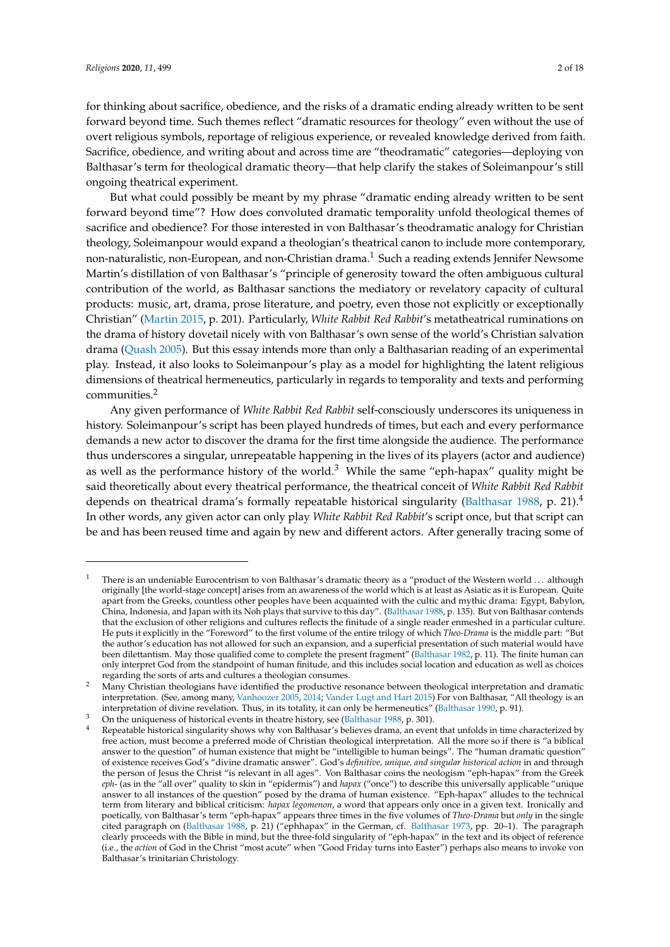for thinking about sacrifice, obedience, and the risks of a dramatic ending already written to be sent forward beyond time. Such themes reflect "dramatic resources for theology" even without the use of overt religious symbols, reportage of religious experience, or revealed knowledge derived from faith. Sacrifice, obedience, and writing about and across time are "theodramatic" categories—deploying von Balthasar's term for theological dramatic theory—that help clarify the stakes of Soleimanpour's still ongoing theatrical experiment.

But what could possibly be meant by my phrase "dramatic ending already written to be sent forward beyond time"? How does convoluted dramatic temporality unfold theological themes of sacrifice and obedience? For those interested in von Balthasar's theodramatic analogy for Christian theology, Soleimanpour would expand a theologian's theatrical canon to include more contemporary, non-naturalistic, non-European, and non-Christian drama.<sup>1</sup> Such a reading extends Jennifer Newsome Martin's distillation of von Balthasar's "principle of generosity toward the often ambiguous cultural contribution of the world, as Balthasar sanctions the mediatory or revelatory capacity of cultural products: music, art, drama, prose literature, and poetry, even those not explicitly or exceptionally Christian" [\(Martin](#page-18-1) [2015,](#page-18-1) p. 201). Particularly, *White Rabbit Red Rabbit*'s metatheatrical ruminations on the drama of history dovetail nicely with von Balthasar's own sense of the world's Christian salvation drama [\(Quash](#page-18-2) [2005\)](#page-18-2). But this essay intends more than only a Balthasarian reading of an experimental play. Instead, it also looks to Soleimanpour's play as a model for highlighting the latent religious dimensions of theatrical hermeneutics, particularly in regards to temporality and texts and performing communities.<sup>2</sup>

Any given performance of *White Rabbit Red Rabbit* self-consciously underscores its uniqueness in history. Soleimanpour's script has been played hundreds of times, but each and every performance demands a new actor to discover the drama for the first time alongside the audience. The performance thus underscores a singular, unrepeatable happening in the lives of its players (actor and audience) as well as the performance history of the world.<sup>3</sup> While the same "eph-hapax" quality might be said theoretically about every theatrical performance, the theatrical conceit of *White Rabbit Red Rabbit* depends on theatrical drama's formally repeatable historical singularity [\(Balthasar](#page-17-0) [1988,](#page-17-0) p. 21).<sup>4</sup> In other words, any given actor can only play *White Rabbit Red Rabbit*'s script once, but that script can be and has been reused time and again by new and different actors. After generally tracing some of

There is an undeniable Eurocentrism to von Balthasar's dramatic theory as a "product of the Western world ... although originally [the world-stage concept] arises from an awareness of the world which is at least as Asiatic as it is European. Quite apart from the Greeks, countless other peoples have been acquainted with the cultic and mythic drama: Egypt, Babylon, China, Indonesia, and Japan with its Noh plays that survive to this day". [\(Balthasar](#page-17-0) [1988,](#page-17-0) p. 135). But von Balthasar contends that the exclusion of other religions and cultures reflects the finitude of a single reader enmeshed in a particular culture. He puts it explicitly in the "Foreword" to the first volume of the entire trilogy of which *Theo-Drama* is the middle part: "But the author's education has not allowed for such an expansion, and a superficial presentation of such material would have been dilettantism. May those qualified come to complete the present fragment" [\(Balthasar](#page-17-5) [1982,](#page-17-5) p. 11). The finite human can only interpret God from the standpoint of human finitude, and this includes social location and education as well as choices regarding the sorts of arts and cultures a theologian consumes.

<sup>&</sup>lt;sup>2</sup> Many Christian theologians have identified the productive resonance between theological interpretation and dramatic interpretation. (See, among many, [Vanhoozer](#page-18-3) [2005,](#page-18-3) [2014;](#page-18-4) [Vander Lugt and Hart](#page-18-5) [2015\)](#page-18-5) For von Balthasar, "All theology is an interpretation of divine revelation. Thus, in its totality, it can only be hermeneutics" [\(Balthasar](#page-17-1) [1990,](#page-17-1) p. 91).

On the uniqueness of historical events in theatre history, see [\(Balthasar](#page-17-0) [1988,](#page-17-0) p. 301).

<sup>4</sup> Repeatable historical singularity shows why von Balthasar's believes drama, an event that unfolds in time characterized by free action, must become a preferred mode of Christian theological interpretation. All the more so if there is "a biblical answer to the question" of human existence that might be "intelligible to human beings". The "human dramatic question" of existence receives God's "divine dramatic answer". God's *definitive, unique, and singular historical action* in and through the person of Jesus the Christ "is relevant in all ages". Von Balthasar coins the neologism "eph-hapax" from the Greek *eph*- (as in the "all over" quality to skin in "epidermis") and *hapax* ("once") to describe this universally applicable "unique answer to all instances of the question" posed by the drama of human existence. "Eph-hapax" alludes to the technical term from literary and biblical criticism: *hapax legomenon*, a word that appears only once in a given text. Ironically and poetically, von Balthasar's term "eph-hapax" appears three times in the five volumes of *Theo-Drama* but *only* in the single cited paragraph on [\(Balthasar](#page-17-0) [1988,](#page-17-0) p. 21) ("ephhapax" in the German, cf. [Balthasar](#page-17-6) [1973,](#page-17-6) pp. 20–1). The paragraph clearly proceeds with the Bible in mind, but the three-fold singularity of "eph-hapax" in the text and its object of reference (i.e., the *action* of God in the Christ "most acute" when "Good Friday turns into Easter") perhaps also means to invoke von Balthasar's trinitarian Christology.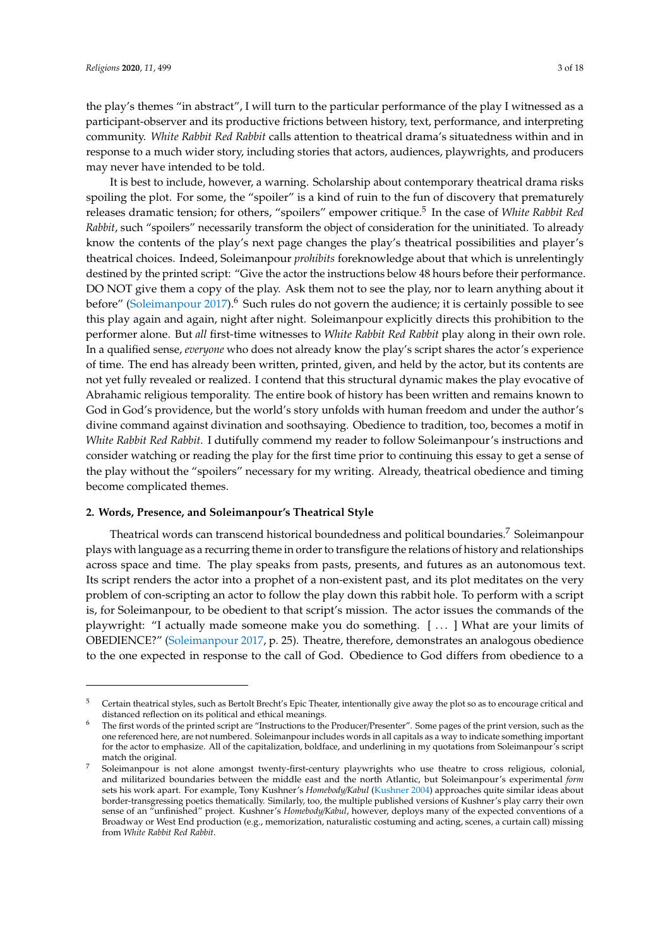the play's themes "in abstract", I will turn to the particular performance of the play I witnessed as a participant-observer and its productive frictions between history, text, performance, and interpreting community. *White Rabbit Red Rabbit* calls attention to theatrical drama's situatedness within and in response to a much wider story, including stories that actors, audiences, playwrights, and producers may never have intended to be told.

It is best to include, however, a warning. Scholarship about contemporary theatrical drama risks spoiling the plot. For some, the "spoiler" is a kind of ruin to the fun of discovery that prematurely releases dramatic tension; for others, "spoilers" empower critique.<sup>5</sup> In the case of *White Rabbit Red Rabbit*, such "spoilers" necessarily transform the object of consideration for the uninitiated. To already know the contents of the play's next page changes the play's theatrical possibilities and player's theatrical choices. Indeed, Soleimanpour *prohibits* foreknowledge about that which is unrelentingly destined by the printed script: "Give the actor the instructions below 48 hours before their performance. DO NOT give them a copy of the play. Ask them not to see the play, nor to learn anything about it before" [\(Soleimanpour](#page-18-0) [2017\)](#page-18-0).<sup>6</sup> Such rules do not govern the audience; it is certainly possible to see this play again and again, night after night. Soleimanpour explicitly directs this prohibition to the performer alone. But *all* first-time witnesses to *White Rabbit Red Rabbit* play along in their own role. In a qualified sense, *everyone* who does not already know the play's script shares the actor's experience of time. The end has already been written, printed, given, and held by the actor, but its contents are not yet fully revealed or realized. I contend that this structural dynamic makes the play evocative of Abrahamic religious temporality. The entire book of history has been written and remains known to God in God's providence, but the world's story unfolds with human freedom and under the author's divine command against divination and soothsaying. Obedience to tradition, too, becomes a motif in *White Rabbit Red Rabbit.* I dutifully commend my reader to follow Soleimanpour's instructions and consider watching or reading the play for the first time prior to continuing this essay to get a sense of the play without the "spoilers" necessary for my writing. Already, theatrical obedience and timing become complicated themes.

#### **2. Words, Presence, and Soleimanpour's Theatrical Style**

Theatrical words can transcend historical boundedness and political boundaries.<sup>7</sup> Soleimanpour plays with language as a recurring theme in order to transfigure the relations of history and relationships across space and time. The play speaks from pasts, presents, and futures as an autonomous text. Its script renders the actor into a prophet of a non-existent past, and its plot meditates on the very problem of con-scripting an actor to follow the play down this rabbit hole. To perform with a script is, for Soleimanpour, to be obedient to that script's mission. The actor issues the commands of the playwright: "I actually made someone make you do something. [ . . . ] What are your limits of OBEDIENCE?" [\(Soleimanpour](#page-18-0) [2017,](#page-18-0) p. 25). Theatre, therefore, demonstrates an analogous obedience to the one expected in response to the call of God. Obedience to God differs from obedience to a

<sup>5</sup> Certain theatrical styles, such as Bertolt Brecht's Epic Theater, intentionally give away the plot so as to encourage critical and distanced reflection on its political and ethical meanings.

The first words of the printed script are "Instructions to the Producer/Presenter". Some pages of the print version, such as the one referenced here, are not numbered. Soleimanpour includes words in all capitals as a way to indicate something important for the actor to emphasize. All of the capitalization, boldface, and underlining in my quotations from Soleimanpour's script match the original.

<sup>7</sup> Soleimanpour is not alone amongst twenty-first-century playwrights who use theatre to cross religious, colonial, and militarized boundaries between the middle east and the north Atlantic, but Soleimanpour's experimental *form* sets his work apart. For example, Tony Kushner's *Homebody*/*Kabul* [\(Kushner](#page-17-7) [2004\)](#page-17-7) approaches quite similar ideas about border-transgressing poetics thematically. Similarly, too, the multiple published versions of Kushner's play carry their own sense of an "unfinished" project. Kushner's *Homebody*/*Kabul*, however, deploys many of the expected conventions of a Broadway or West End production (e.g., memorization, naturalistic costuming and acting, scenes, a curtain call) missing from *White Rabbit Red Rabbit*.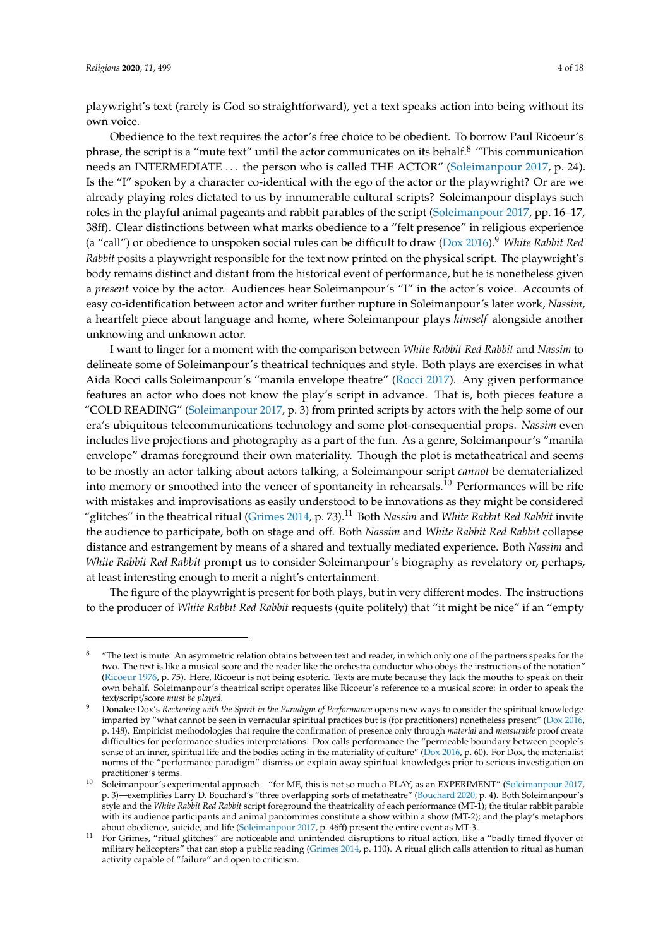playwright's text (rarely is God so straightforward), yet a text speaks action into being without its own voice.

Obedience to the text requires the actor's free choice to be obedient. To borrow Paul Ricoeur's phrase, the script is a "mute text" until the actor communicates on its behalf.<sup>8</sup> "This communication needs an INTERMEDIATE ... the person who is called THE ACTOR" [\(Soleimanpour](#page-18-0) [2017,](#page-18-0) p. 24). Is the "I" spoken by a character co-identical with the ego of the actor or the playwright? Or are we already playing roles dictated to us by innumerable cultural scripts? Soleimanpour displays such roles in the playful animal pageants and rabbit parables of the script [\(Soleimanpour](#page-18-0) [2017,](#page-18-0) pp. 16–17, 38ff). Clear distinctions between what marks obedience to a "felt presence" in religious experience (a "call") or obedience to unspoken social rules can be difficult to draw [\(Dox](#page-17-8) [2016\)](#page-17-8).<sup>9</sup> *White Rabbit Red Rabbit* posits a playwright responsible for the text now printed on the physical script. The playwright's body remains distinct and distant from the historical event of performance, but he is nonetheless given a *present* voice by the actor. Audiences hear Soleimanpour's "I" in the actor's voice. Accounts of easy co-identification between actor and writer further rupture in Soleimanpour's later work, *Nassim*, a heartfelt piece about language and home, where Soleimanpour plays *himself* alongside another unknowing and unknown actor.

I want to linger for a moment with the comparison between *White Rabbit Red Rabbit* and *Nassim* to delineate some of Soleimanpour's theatrical techniques and style. Both plays are exercises in what Aida Rocci calls Soleimanpour's "manila envelope theatre" [\(Rocci](#page-18-6) [2017\)](#page-18-6). Any given performance features an actor who does not know the play's script in advance. That is, both pieces feature a "COLD READING" [\(Soleimanpour](#page-18-0) [2017,](#page-18-0) p. 3) from printed scripts by actors with the help some of our era's ubiquitous telecommunications technology and some plot-consequential props. *Nassim* even includes live projections and photography as a part of the fun. As a genre, Soleimanpour's "manila envelope" dramas foreground their own materiality. Though the plot is metatheatrical and seems to be mostly an actor talking about actors talking, a Soleimanpour script *cannot* be dematerialized into memory or smoothed into the veneer of spontaneity in rehearsals.<sup>10</sup> Performances will be rife with mistakes and improvisations as easily understood to be innovations as they might be considered "glitches" in the theatrical ritual [\(Grimes](#page-17-9) [2014,](#page-17-9) p. 73).<sup>11</sup> Both *Nassim* and *White Rabbit Red Rabbit* invite the audience to participate, both on stage and off. Both *Nassim* and *White Rabbit Red Rabbit* collapse distance and estrangement by means of a shared and textually mediated experience. Both *Nassim* and *White Rabbit Red Rabbit* prompt us to consider Soleimanpour's biography as revelatory or, perhaps, at least interesting enough to merit a night's entertainment.

The figure of the playwright is present for both plays, but in very different modes. The instructions to the producer of *White Rabbit Red Rabbit* requests (quite politely) that "it might be nice" if an "empty

<sup>8</sup> "The text is mute. An asymmetric relation obtains between text and reader, in which only one of the partners speaks for the two. The text is like a musical score and the reader like the orchestra conductor who obeys the instructions of the notation" [\(Ricoeur](#page-18-7) [1976,](#page-18-7) p. 75). Here, Ricoeur is not being esoteric. Texts are mute because they lack the mouths to speak on their own behalf. Soleimanpour's theatrical script operates like Ricoeur's reference to a musical score: in order to speak the text/script/score *must be played*.

<sup>9</sup> Donalee Dox's *Reckoning with the Spirit in the Paradigm of Performance* opens new ways to consider the spiritual knowledge imparted by "what cannot be seen in vernacular spiritual practices but is (for practitioners) nonetheless present" [\(Dox](#page-17-8) [2016,](#page-17-8) p. 148). Empiricist methodologies that require the confirmation of presence only through *material* and *measurable* proof create difficulties for performance studies interpretations. Dox calls performance the "permeable boundary between people's sense of an inner, spiritual life and the bodies acting in the materiality of culture" [\(Dox](#page-17-8) [2016,](#page-17-8) p. 60). For Dox, the materialist norms of the "performance paradigm" dismiss or explain away spiritual knowledges prior to serious investigation on practitioner's terms.

<sup>10</sup> Soleimanpour's experimental approach—"for ME, this is not so much a PLAY, as an EXPERIMENT" [\(Soleimanpour](#page-18-0) [2017,](#page-18-0) p. 3)—exemplifies Larry D. Bouchard's "three overlapping sorts of metatheatre" [\(Bouchard](#page-17-10) [2020,](#page-17-10) p. 4). Both Soleimanpour's style and the *White Rabbit Red Rabbit* script foreground the theatricality of each performance (MT-1); the titular rabbit parable with its audience participants and animal pantomimes constitute a show within a show (MT-2); and the play's metaphors about obedience, suicide, and life [\(Soleimanpour](#page-18-0) [2017,](#page-18-0) p. 46ff) present the entire event as MT-3.

<sup>11</sup> For Grimes, "ritual glitches" are noticeable and unintended disruptions to ritual action, like a "badly timed flyover of military helicopters" that can stop a public reading [\(Grimes](#page-17-9) [2014,](#page-17-9) p. 110). A ritual glitch calls attention to ritual as human activity capable of "failure" and open to criticism.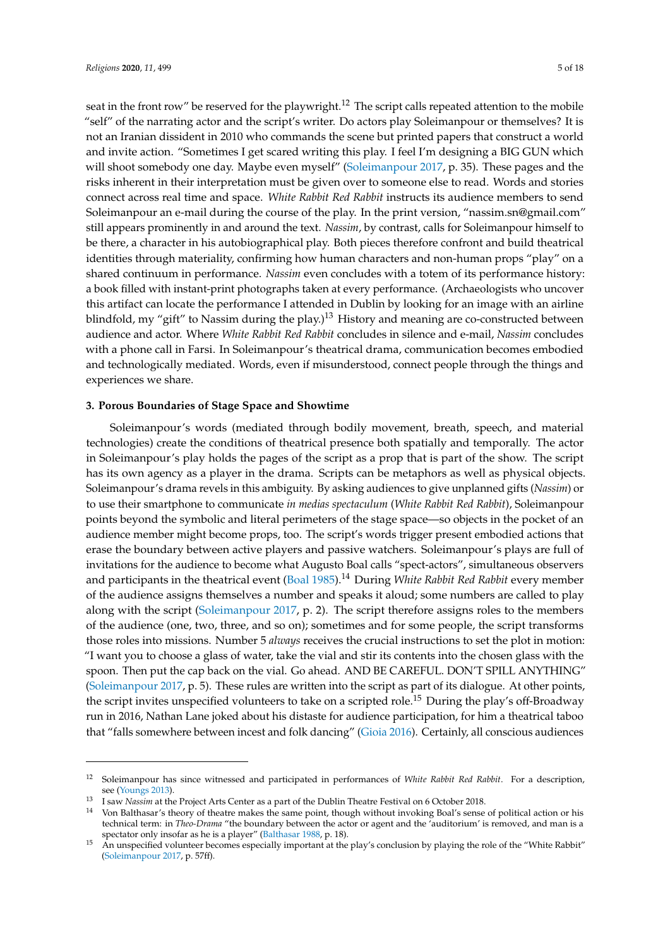seat in the front row" be reserved for the playwright.<sup>12</sup> The script calls repeated attention to the mobile "self" of the narrating actor and the script's writer. Do actors play Soleimanpour or themselves? It is not an Iranian dissident in 2010 who commands the scene but printed papers that construct a world and invite action. "Sometimes I get scared writing this play. I feel I'm designing a BIG GUN which will shoot somebody one day. Maybe even myself" [\(Soleimanpour](#page-18-0) [2017,](#page-18-0) p. 35). These pages and the risks inherent in their interpretation must be given over to someone else to read. Words and stories connect across real time and space. *White Rabbit Red Rabbit* instructs its audience members to send Soleimanpour an e-mail during the course of the play. In the print version, "nassim.sn@gmail.com" still appears prominently in and around the text. *Nassim*, by contrast, calls for Soleimanpour himself to be there, a character in his autobiographical play. Both pieces therefore confront and build theatrical identities through materiality, confirming how human characters and non-human props "play" on a shared continuum in performance. *Nassim* even concludes with a totem of its performance history: a book filled with instant-print photographs taken at every performance. (Archaeologists who uncover this artifact can locate the performance I attended in Dublin by looking for an image with an airline blindfold, my "gift" to Nassim during the play.)<sup>13</sup> History and meaning are co-constructed between audience and actor. Where *White Rabbit Red Rabbit* concludes in silence and e-mail, *Nassim* concludes with a phone call in Farsi. In Soleimanpour's theatrical drama, communication becomes embodied and technologically mediated. Words, even if misunderstood, connect people through the things and experiences we share.

#### **3. Porous Boundaries of Stage Space and Showtime**

Soleimanpour's words (mediated through bodily movement, breath, speech, and material technologies) create the conditions of theatrical presence both spatially and temporally. The actor in Soleimanpour's play holds the pages of the script as a prop that is part of the show. The script has its own agency as a player in the drama. Scripts can be metaphors as well as physical objects. Soleimanpour's drama revels in this ambiguity. By asking audiences to give unplanned gifts (*Nassim*) or to use their smartphone to communicate *in medias spectaculum* (*White Rabbit Red Rabbit*), Soleimanpour points beyond the symbolic and literal perimeters of the stage space—so objects in the pocket of an audience member might become props, too. The script's words trigger present embodied actions that erase the boundary between active players and passive watchers. Soleimanpour's plays are full of invitations for the audience to become what Augusto Boal calls "spect-actors", simultaneous observers and participants in the theatrical event [\(Boal](#page-17-11) [1985\)](#page-17-11).<sup>14</sup> During *White Rabbit Red Rabbit* every member of the audience assigns themselves a number and speaks it aloud; some numbers are called to play along with the script [\(Soleimanpour](#page-18-0) [2017,](#page-18-0) p. 2). The script therefore assigns roles to the members of the audience (one, two, three, and so on); sometimes and for some people, the script transforms those roles into missions. Number 5 *always* receives the crucial instructions to set the plot in motion: "I want you to choose a glass of water, take the vial and stir its contents into the chosen glass with the spoon. Then put the cap back on the vial. Go ahead. AND BE CAREFUL. DON'T SPILL ANYTHING" [\(Soleimanpour](#page-18-0) [2017,](#page-18-0) p. 5). These rules are written into the script as part of its dialogue. At other points, the script invites unspecified volunteers to take on a scripted role.<sup>15</sup> During the play's off-Broadway run in 2016, Nathan Lane joked about his distaste for audience participation, for him a theatrical taboo that "falls somewhere between incest and folk dancing" [\(Gioia](#page-17-12) [2016\)](#page-17-12). Certainly, all conscious audiences

<sup>12</sup> Soleimanpour has since witnessed and participated in performances of *White Rabbit Red Rabbit*. For a description, see [\(Youngs](#page-18-8) [2013\)](#page-18-8).

<sup>13</sup> I saw *Nassim* at the Project Arts Center as a part of the Dublin Theatre Festival on 6 October 2018.

<sup>&</sup>lt;sup>14</sup> Von Balthasar's theory of theatre makes the same point, though without invoking Boal's sense of political action or his technical term: in *Theo-Drama* "the boundary between the actor or agent and the 'auditorium' is removed, and man is a spectator only insofar as he is a player" [\(Balthasar](#page-17-0) [1988,](#page-17-0) p. 18).

<sup>15</sup> An unspecified volunteer becomes especially important at the play's conclusion by playing the role of the "White Rabbit" [\(Soleimanpour](#page-18-0) [2017,](#page-18-0) p. 57ff).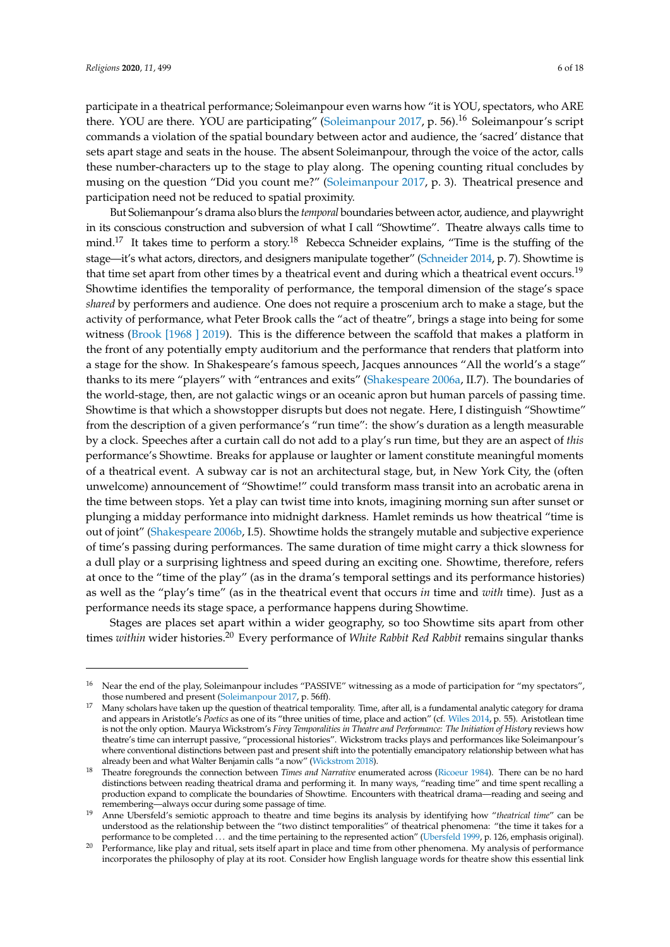participate in a theatrical performance; Soleimanpour even warns how "it is YOU, spectators, who ARE there. YOU are there. YOU are participating" [\(Soleimanpour](#page-18-0) [2017,](#page-18-0) p. 56).<sup>16</sup> Soleimanpour's script commands a violation of the spatial boundary between actor and audience, the 'sacred' distance that sets apart stage and seats in the house. The absent Soleimanpour, through the voice of the actor, calls these number-characters up to the stage to play along. The opening counting ritual concludes by musing on the question "Did you count me?" [\(Soleimanpour](#page-18-0) [2017,](#page-18-0) p. 3). Theatrical presence and participation need not be reduced to spatial proximity.

But Soliemanpour's drama also blurs the *temporal* boundaries between actor, audience, and playwright in its conscious construction and subversion of what I call "Showtime". Theatre always calls time to mind.<sup>17</sup> It takes time to perform a story.<sup>18</sup> Rebecca Schneider explains, "Time is the stuffing of the stage—it's what actors, directors, and designers manipulate together" [\(Schneider](#page-18-9) [2014,](#page-18-9) p. 7). Showtime is that time set apart from other times by a theatrical event and during which a theatrical event occurs.<sup>19</sup> Showtime identifies the temporality of performance, the temporal dimension of the stage's space *shared* by performers and audience. One does not require a proscenium arch to make a stage, but the activity of performance, what Peter Brook calls the "act of theatre", brings a stage into being for some witness [\(Brook](#page-17-13) [1968 ] [2019\)](#page-17-13). This is the difference between the scaffold that makes a platform in the front of any potentially empty auditorium and the performance that renders that platform into a stage for the show. In Shakespeare's famous speech, Jacques announces "All the world's a stage" thanks to its mere "players" with "entrances and exits" [\(Shakespeare](#page-18-10) [2006a,](#page-18-10) II.7). The boundaries of the world-stage, then, are not galactic wings or an oceanic apron but human parcels of passing time. Showtime is that which a showstopper disrupts but does not negate. Here, I distinguish "Showtime" from the description of a given performance's "run time": the show's duration as a length measurable by a clock. Speeches after a curtain call do not add to a play's run time, but they are an aspect of *this* performance's Showtime. Breaks for applause or laughter or lament constitute meaningful moments of a theatrical event. A subway car is not an architectural stage, but, in New York City, the (often unwelcome) announcement of "Showtime!" could transform mass transit into an acrobatic arena in the time between stops. Yet a play can twist time into knots, imagining morning sun after sunset or plunging a midday performance into midnight darkness. Hamlet reminds us how theatrical "time is out of joint" [\(Shakespeare](#page-18-11) [2006b,](#page-18-11) I.5). Showtime holds the strangely mutable and subjective experience of time's passing during performances. The same duration of time might carry a thick slowness for a dull play or a surprising lightness and speed during an exciting one. Showtime, therefore, refers at once to the "time of the play" (as in the drama's temporal settings and its performance histories) as well as the "play's time" (as in the theatrical event that occurs *in* time and *with* time). Just as a performance needs its stage space, a performance happens during Showtime.

Stages are places set apart within a wider geography, so too Showtime sits apart from other times *within* wider histories.<sup>20</sup> Every performance of *White Rabbit Red Rabbit* remains singular thanks

<sup>&</sup>lt;sup>16</sup> Near the end of the play, Soleimanpour includes "PASSIVE" witnessing as a mode of participation for "my spectators", those numbered and present [\(Soleimanpour](#page-18-0) [2017,](#page-18-0) p. 56ff).

<sup>&</sup>lt;sup>17</sup> Many scholars have taken up the question of theatrical temporality. Time, after all, is a fundamental analytic category for drama and appears in Aristotle's *Poetics* as one of its "three unities of time, place and action" (cf. [Wiles](#page-18-12) [2014,](#page-18-12) p. 55). Aristotlean time is not the only option. Maurya Wickstrom's *Firey Temporalities in Theatre and Performance: The Initiation of History* reviews how theatre's time can interrupt passive, "processional histories". Wickstrom tracks plays and performances like Soleimanpour's where conventional distinctions between past and present shift into the potentially emancipatory relationship between what has already been and what Walter Benjamin calls "a now" [\(Wickstrom](#page-18-13) [2018\)](#page-18-13).

<sup>18</sup> Theatre foregrounds the connection between *Times and Narrative* enumerated across [\(Ricoeur](#page-18-14) [1984\)](#page-18-14). There can be no hard distinctions between reading theatrical drama and performing it. In many ways, "reading time" and time spent recalling a production expand to complicate the boundaries of Showtime. Encounters with theatrical drama—reading and seeing and remembering—always occur during some passage of time.

<sup>19</sup> Anne Ubersfeld's semiotic approach to theatre and time begins its analysis by identifying how "*theatrical time*" can be understood as the relationship between the "two distinct temporalities" of theatrical phenomena: "the time it takes for a performance to be completed . . . and the time pertaining to the represented action" [\(Ubersfeld](#page-18-15) [1999,](#page-18-15) p. 126, emphasis original).

<sup>&</sup>lt;sup>20</sup> Performance, like play and ritual, sets itself apart in place and time from other phenomena. My analysis of performance incorporates the philosophy of play at its root. Consider how English language words for theatre show this essential link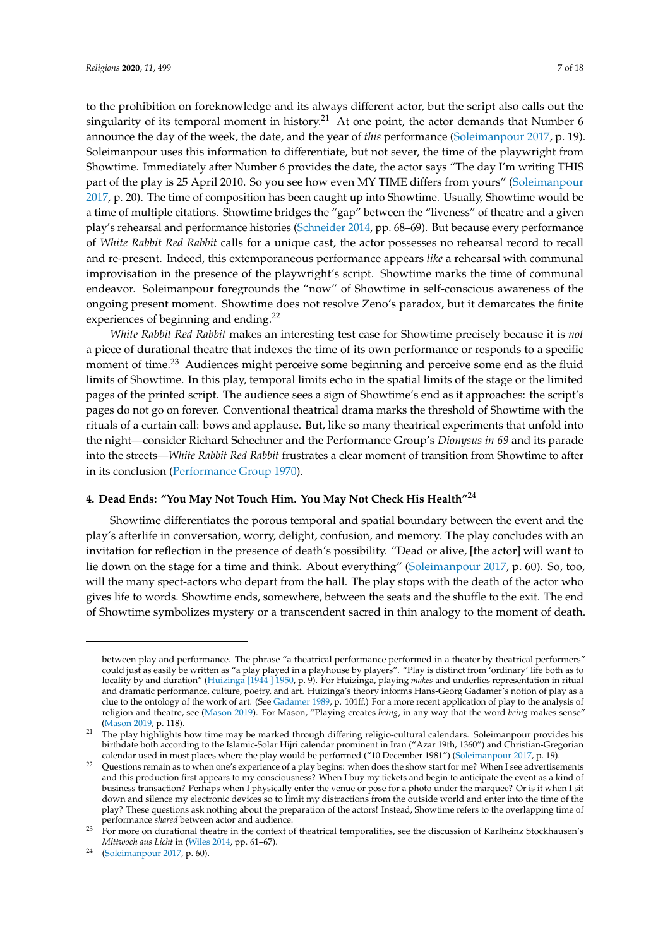to the prohibition on foreknowledge and its always different actor, but the script also calls out the singularity of its temporal moment in history.<sup>21</sup> At one point, the actor demands that Number 6 announce the day of the week, the date, and the year of *this* performance [\(Soleimanpour](#page-18-0) [2017,](#page-18-0) p. 19). Soleimanpour uses this information to differentiate, but not sever, the time of the playwright from Showtime. Immediately after Number 6 provides the date, the actor says "The day I'm writing THIS part of the play is 25 April 2010. So you see how even MY TIME differs from yours" [\(Soleimanpour](#page-18-0) [2017,](#page-18-0) p. 20). The time of composition has been caught up into Showtime. Usually, Showtime would be a time of multiple citations. Showtime bridges the "gap" between the "liveness" of theatre and a given play's rehearsal and performance histories [\(Schneider](#page-18-9) [2014,](#page-18-9) pp. 68–69). But because every performance of *White Rabbit Red Rabbit* calls for a unique cast, the actor possesses no rehearsal record to recall and re-present. Indeed, this extemporaneous performance appears *like* a rehearsal with communal improvisation in the presence of the playwright's script. Showtime marks the time of communal endeavor. Soleimanpour foregrounds the "now" of Showtime in self-conscious awareness of the ongoing present moment. Showtime does not resolve Zeno's paradox, but it demarcates the finite experiences of beginning and ending.<sup>22</sup>

*White Rabbit Red Rabbit* makes an interesting test case for Showtime precisely because it is *not* a piece of durational theatre that indexes the time of its own performance or responds to a specific moment of time.<sup>23</sup> Audiences might perceive some beginning and perceive some end as the fluid limits of Showtime. In this play, temporal limits echo in the spatial limits of the stage or the limited pages of the printed script. The audience sees a sign of Showtime's end as it approaches: the script's pages do not go on forever. Conventional theatrical drama marks the threshold of Showtime with the rituals of a curtain call: bows and applause. But, like so many theatrical experiments that unfold into the night—consider Richard Schechner and the Performance Group's *Dionysus in 69* and its parade into the streets—*White Rabbit Red Rabbit* frustrates a clear moment of transition from Showtime to after in its conclusion [\(Performance Group](#page-18-16) [1970\)](#page-18-16).

## **4. Dead Ends: "You May Not Touch Him. You May Not Check His Health"**<sup>24</sup>

Showtime differentiates the porous temporal and spatial boundary between the event and the play's afterlife in conversation, worry, delight, confusion, and memory. The play concludes with an invitation for reflection in the presence of death's possibility. "Dead or alive, [the actor] will want to lie down on the stage for a time and think. About everything" [\(Soleimanpour](#page-18-0) [2017,](#page-18-0) p. 60). So, too, will the many spect-actors who depart from the hall. The play stops with the death of the actor who gives life to words. Showtime ends, somewhere, between the seats and the shuffle to the exit. The end of Showtime symbolizes mystery or a transcendent sacred in thin analogy to the moment of death.

between play and performance. The phrase "a theatrical performance performed in a theater by theatrical performers" could just as easily be written as "a play played in a playhouse by players". "Play is distinct from 'ordinary' life both as to locality by and duration" [\(Huizinga](#page-17-14) [1944 ] [1950,](#page-17-14) p. 9). For Huizinga, playing *makes* and underlies representation in ritual and dramatic performance, culture, poetry, and art. Huizinga's theory informs Hans-Georg Gadamer's notion of play as a clue to the ontology of the work of art. (See [Gadamer](#page-17-15) [1989,](#page-17-15) p. 101ff.) For a more recent application of play to the analysis of religion and theatre, see [\(Mason](#page-18-17) [2019\)](#page-18-17). For Mason, "Playing creates *being*, in any way that the word *being* makes sense" [\(Mason](#page-18-17) [2019,](#page-18-17) p. 118).

 $21$  The play highlights how time may be marked through differing religio-cultural calendars. Soleimanpour provides his birthdate both according to the Islamic-Solar Hijri calendar prominent in Iran ("Azar 19th, 1360") and Christian-Gregorian calendar used in most places where the play would be performed ("10 December 1981") [\(Soleimanpour](#page-18-0) [2017,](#page-18-0) p. 19).

<sup>22</sup> Questions remain as to when one's experience of a play begins: when does the show start for me? When I see advertisements and this production first appears to my consciousness? When I buy my tickets and begin to anticipate the event as a kind of business transaction? Perhaps when I physically enter the venue or pose for a photo under the marquee? Or is it when I sit down and silence my electronic devices so to limit my distractions from the outside world and enter into the time of the play? These questions ask nothing about the preparation of the actors! Instead, Showtime refers to the overlapping time of performance *shared* between actor and audience.

<sup>&</sup>lt;sup>23</sup> For more on durational theatre in the context of theatrical temporalities, see the discussion of Karlheinz Stockhausen's *Mittwoch aus Licht* in [\(Wiles](#page-18-12) [2014,](#page-18-12) pp. 61–67).

<sup>24</sup> [\(Soleimanpour](#page-18-0) [2017,](#page-18-0) p. 60).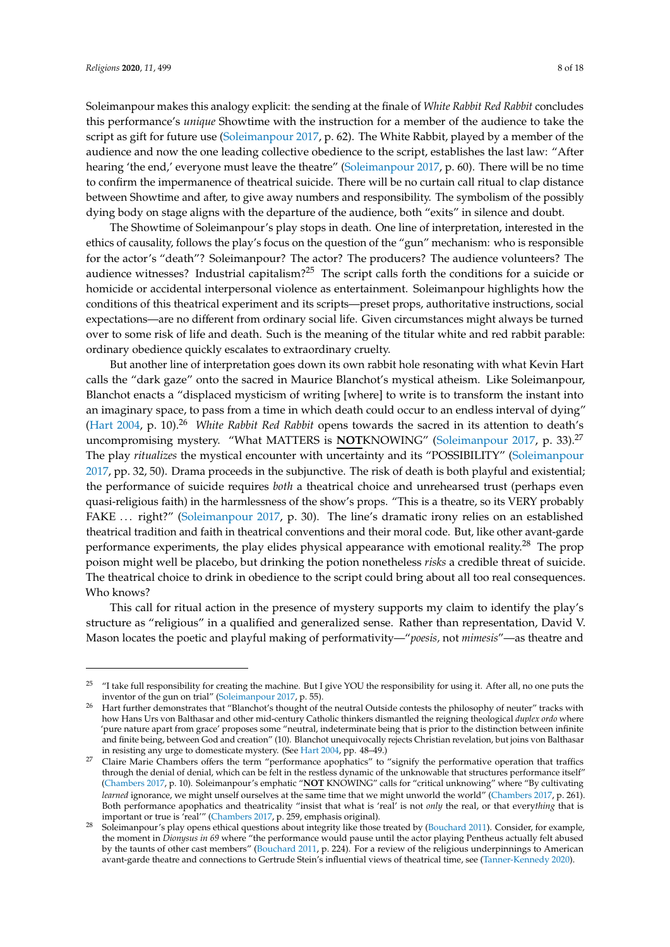Soleimanpour makes this analogy explicit: the sending at the finale of *White Rabbit Red Rabbit* concludes this performance's *unique* Showtime with the instruction for a member of the audience to take the script as gift for future use [\(Soleimanpour](#page-18-0) [2017,](#page-18-0) p. 62). The White Rabbit, played by a member of the audience and now the one leading collective obedience to the script, establishes the last law: "After hearing 'the end,' everyone must leave the theatre" [\(Soleimanpour](#page-18-0) [2017,](#page-18-0) p. 60). There will be no time to confirm the impermanence of theatrical suicide. There will be no curtain call ritual to clap distance between Showtime and after, to give away numbers and responsibility. The symbolism of the possibly dying body on stage aligns with the departure of the audience, both "exits" in silence and doubt.

The Showtime of Soleimanpour's play stops in death. One line of interpretation, interested in the ethics of causality, follows the play's focus on the question of the "gun" mechanism: who is responsible for the actor's "death"? Soleimanpour? The actor? The producers? The audience volunteers? The audience witnesses? Industrial capitalism?<sup>25</sup> The script calls forth the conditions for a suicide or homicide or accidental interpersonal violence as entertainment. Soleimanpour highlights how the conditions of this theatrical experiment and its scripts—preset props, authoritative instructions, social expectations—are no different from ordinary social life. Given circumstances might always be turned over to some risk of life and death. Such is the meaning of the titular white and red rabbit parable: ordinary obedience quickly escalates to extraordinary cruelty.

But another line of interpretation goes down its own rabbit hole resonating with what Kevin Hart calls the "dark gaze" onto the sacred in Maurice Blanchot's mystical atheism. Like Soleimanpour, Blanchot enacts a "displaced mysticism of writing [where] to write is to transform the instant into an imaginary space, to pass from a time in which death could occur to an endless interval of dying" [\(Hart](#page-17-16) [2004,](#page-17-16) p. 10).<sup>26</sup> *White Rabbit Red Rabbit* opens towards the sacred in its attention to death's uncompromising mystery. "What MATTERS is **NOT**KNOWING" [\(Soleimanpour](#page-18-0) [2017,](#page-18-0) p. 33).<sup>27</sup> The play *ritualizes* the mystical encounter with uncertainty and its "POSSIBILITY" [\(Soleimanpour](#page-18-0) [2017,](#page-18-0) pp. 32, 50). Drama proceeds in the subjunctive. The risk of death is both playful and existential; the performance of suicide requires *both* a theatrical choice and unrehearsed trust (perhaps even quasi-religious faith) in the harmlessness of the show's props. "This is a theatre, so its VERY probably FAKE ... right?" [\(Soleimanpour](#page-18-0) [2017,](#page-18-0) p. 30). The line's dramatic irony relies on an established theatrical tradition and faith in theatrical conventions and their moral code. But, like other avant-garde performance experiments, the play elides physical appearance with emotional reality.<sup>28</sup> The prop poison might well be placebo, but drinking the potion nonetheless *risks* a credible threat of suicide. The theatrical choice to drink in obedience to the script could bring about all too real consequences. Who knows?

This call for ritual action in the presence of mystery supports my claim to identify the play's structure as "religious" in a qualified and generalized sense. Rather than representation, David V. Mason locates the poetic and playful making of performativity—"*poesis,* not *mimesis*"—as theatre and

<sup>&</sup>lt;sup>25</sup> "I take full responsibility for creating the machine. But I give YOU the responsibility for using it. After all, no one puts the inventor of the gun on trial" [\(Soleimanpour](#page-18-0) [2017,](#page-18-0) p. 55).

<sup>&</sup>lt;sup>26</sup> Hart further demonstrates that "Blanchot's thought of the neutral Outside contests the philosophy of neuter" tracks with how Hans Urs von Balthasar and other mid-century Catholic thinkers dismantled the reigning theological *duplex ordo* where 'pure nature apart from grace' proposes some "neutral, indeterminate being that is prior to the distinction between infinite and finite being, between God and creation" (10). Blanchot unequivocally rejects Christian revelation, but joins von Balthasar in resisting any urge to domesticate mystery. (See [Hart](#page-17-16) [2004,](#page-17-16) pp. 48–49.)

<sup>&</sup>lt;sup>27</sup> Claire Marie Chambers offers the term "performance apophatics" to "signify the performative operation that traffics through the denial of denial, which can be felt in the restless dynamic of the unknowable that structures performance itself" [\(Chambers](#page-17-17) [2017,](#page-17-17) p. 10). Soleimanpour's emphatic "**NOT** KNOWING" calls for "critical unknowing" where "By cultivating *learned* ignorance, we might unself ourselves at the same time that we might unworld the world" [\(Chambers](#page-17-17) [2017,](#page-17-17) p. 261). Both performance apophatics and theatricality "insist that what is 'real' is not *only* the real, or that every*thing* that is important or true is 'real'" [\(Chambers](#page-17-17) [2017,](#page-17-17) p. 259, emphasis original).

<sup>28</sup> Soleimanpour's play opens ethical questions about integrity like those treated by [\(Bouchard](#page-17-18) [2011\)](#page-17-18). Consider, for example, the moment in *Dionysus in 69* where "the performance would pause until the actor playing Pentheus actually felt abused by the taunts of other cast members" [\(Bouchard](#page-17-18) [2011,](#page-17-18) p. 224). For a review of the religious underpinnings to American avant-garde theatre and connections to Gertrude Stein's influential views of theatrical time, see [\(Tanner-Kennedy](#page-18-18) [2020\)](#page-18-18).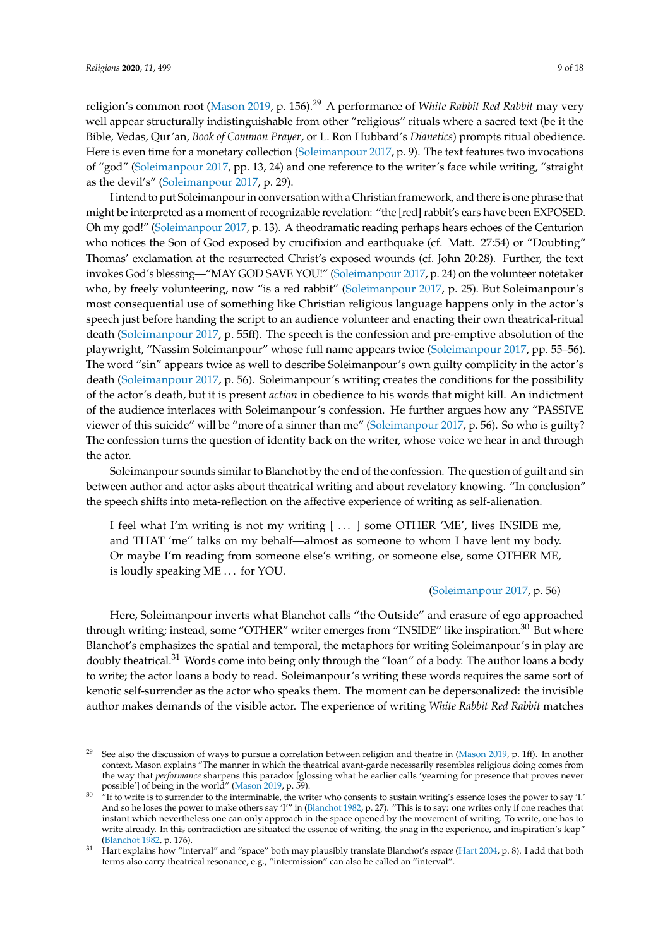religion's common root [\(Mason](#page-18-17) [2019,](#page-18-17) p. 156).<sup>29</sup> A performance of *White Rabbit Red Rabbit* may very well appear structurally indistinguishable from other "religious" rituals where a sacred text (be it the Bible, Vedas, Qur'an, *Book of Common Prayer*, or L. Ron Hubbard's *Dianetics*) prompts ritual obedience. Here is even time for a monetary collection [\(Soleimanpour](#page-18-0) [2017,](#page-18-0) p. 9). The text features two invocations of "god" [\(Soleimanpour](#page-18-0) [2017,](#page-18-0) pp. 13, 24) and one reference to the writer's face while writing, "straight as the devil's" [\(Soleimanpour](#page-18-0) [2017,](#page-18-0) p. 29).

I intend to put Soleimanpour in conversation with a Christian framework, and there is one phrase that might be interpreted as a moment of recognizable revelation: "the [red] rabbit's ears have been EXPOSED. Oh my god!" [\(Soleimanpour](#page-18-0) [2017,](#page-18-0) p. 13). A theodramatic reading perhaps hears echoes of the Centurion who notices the Son of God exposed by crucifixion and earthquake (cf. Matt. 27:54) or "Doubting" Thomas' exclamation at the resurrected Christ's exposed wounds (cf. John 20:28). Further, the text invokes God's blessing—"MAY GOD SAVE YOU!" [\(Soleimanpour](#page-18-0) [2017,](#page-18-0) p. 24) on the volunteer notetaker who, by freely volunteering, now "is a red rabbit" [\(Soleimanpour](#page-18-0) [2017,](#page-18-0) p. 25). But Soleimanpour's most consequential use of something like Christian religious language happens only in the actor's speech just before handing the script to an audience volunteer and enacting their own theatrical-ritual death [\(Soleimanpour](#page-18-0) [2017,](#page-18-0) p. 55ff). The speech is the confession and pre-emptive absolution of the playwright, "Nassim Soleimanpour" whose full name appears twice [\(Soleimanpour](#page-18-0) [2017,](#page-18-0) pp. 55–56). The word "sin" appears twice as well to describe Soleimanpour's own guilty complicity in the actor's death [\(Soleimanpour](#page-18-0) [2017,](#page-18-0) p. 56). Soleimanpour's writing creates the conditions for the possibility of the actor's death, but it is present *action* in obedience to his words that might kill. An indictment of the audience interlaces with Soleimanpour's confession. He further argues how any "PASSIVE viewer of this suicide" will be "more of a sinner than me" [\(Soleimanpour](#page-18-0) [2017,](#page-18-0) p. 56). So who is guilty? The confession turns the question of identity back on the writer, whose voice we hear in and through the actor.

Soleimanpour sounds similar to Blanchot by the end of the confession. The question of guilt and sin between author and actor asks about theatrical writing and about revelatory knowing. "In conclusion" the speech shifts into meta-reflection on the affective experience of writing as self-alienation.

I feel what I'm writing is not my writing [ . . . ] some OTHER 'ME', lives INSIDE me, and THAT 'me" talks on my behalf—almost as someone to whom I have lent my body. Or maybe I'm reading from someone else's writing, or someone else, some OTHER ME, is loudly speaking ME . . . for YOU.

#### [\(Soleimanpour](#page-18-0) [2017,](#page-18-0) p. 56)

Here, Soleimanpour inverts what Blanchot calls "the Outside" and erasure of ego approached through writing; instead, some "OTHER" writer emerges from "INSIDE" like inspiration.<sup>30</sup> But where Blanchot's emphasizes the spatial and temporal, the metaphors for writing Soleimanpour's in play are doubly theatrical.<sup>31</sup> Words come into being only through the "loan" of a body. The author loans a body to write; the actor loans a body to read. Soleimanpour's writing these words requires the same sort of kenotic self-surrender as the actor who speaks them. The moment can be depersonalized: the invisible author makes demands of the visible actor. The experience of writing *White Rabbit Red Rabbit* matches

<sup>&</sup>lt;sup>29</sup> See also the discussion of ways to pursue a correlation between religion and theatre in [\(Mason](#page-18-17) [2019,](#page-18-17) p. 1ff). In another context, Mason explains "The manner in which the theatrical avant-garde necessarily resembles religious doing comes from the way that *performance* sharpens this paradox [glossing what he earlier calls 'yearning for presence that proves never possible'] of being in the world" [\(Mason](#page-18-17) [2019,](#page-18-17) p. 59).

 $30$  "If to write is to surrender to the interminable, the writer who consents to sustain writing's essence loses the power to say 'I.' And so he loses the power to make others say 'I'" in [\(Blanchot](#page-17-19) [1982,](#page-17-19) p. 27). "This is to say: one writes only if one reaches that instant which nevertheless one can only approach in the space opened by the movement of writing. To write, one has to write already. In this contradiction are situated the essence of writing, the snag in the experience, and inspiration's leap" [\(Blanchot](#page-17-19) [1982,](#page-17-19) p. 176).

<sup>31</sup> Hart explains how "interval" and "space" both may plausibly translate Blanchot's *espace* [\(Hart](#page-17-16) [2004,](#page-17-16) p. 8). I add that both terms also carry theatrical resonance, e.g., "intermission" can also be called an "interval".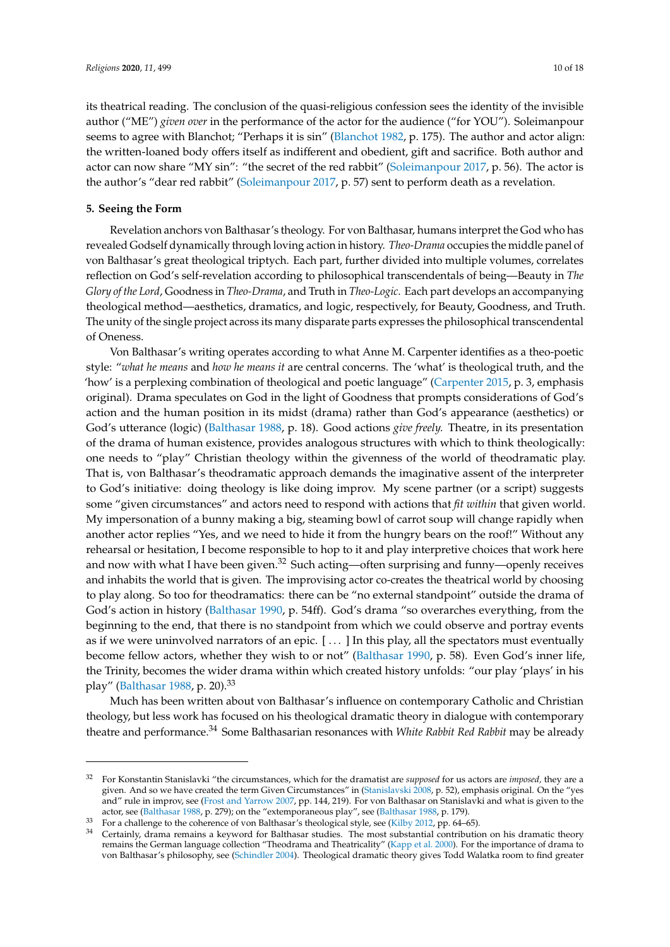its theatrical reading. The conclusion of the quasi-religious confession sees the identity of the invisible author ("ME") *given over* in the performance of the actor for the audience ("for YOU"). Soleimanpour seems to agree with Blanchot; "Perhaps it is sin" [\(Blanchot](#page-17-19) [1982,](#page-17-19) p. 175). The author and actor align: the written-loaned body offers itself as indifferent and obedient, gift and sacrifice. Both author and actor can now share "MY sin": "the secret of the red rabbit" [\(Soleimanpour](#page-18-0) [2017,](#page-18-0) p. 56). The actor is the author's "dear red rabbit" [\(Soleimanpour](#page-18-0) [2017,](#page-18-0) p. 57) sent to perform death as a revelation.

#### **5. Seeing the Form**

Revelation anchors von Balthasar's theology. For von Balthasar, humans interpret the God who has revealed Godself dynamically through loving action in history. *Theo-Drama* occupies the middle panel of von Balthasar's great theological triptych. Each part, further divided into multiple volumes, correlates reflection on God's self-revelation according to philosophical transcendentals of being—Beauty in *The Glory of the Lord*, Goodness in *Theo-Drama*, and Truth in *Theo-Logic*. Each part develops an accompanying theological method—aesthetics, dramatics, and logic, respectively, for Beauty, Goodness, and Truth. The unity of the single project across its many disparate parts expresses the philosophical transcendental of Oneness.

Von Balthasar's writing operates according to what Anne M. Carpenter identifies as a theo-poetic style: "*what he means* and *how he means it* are central concerns. The 'what' is theological truth, and the 'how' is a perplexing combination of theological and poetic language" [\(Carpenter](#page-17-20) [2015,](#page-17-20) p. 3, emphasis original). Drama speculates on God in the light of Goodness that prompts considerations of God's action and the human position in its midst (drama) rather than God's appearance (aesthetics) or God's utterance (logic) [\(Balthasar](#page-17-0) [1988,](#page-17-0) p. 18). Good actions *give freely.* Theatre, in its presentation of the drama of human existence, provides analogous structures with which to think theologically: one needs to "play" Christian theology within the givenness of the world of theodramatic play. That is, von Balthasar's theodramatic approach demands the imaginative assent of the interpreter to God's initiative: doing theology is like doing improv. My scene partner (or a script) suggests some "given circumstances" and actors need to respond with actions that *fit within* that given world. My impersonation of a bunny making a big, steaming bowl of carrot soup will change rapidly when another actor replies "Yes, and we need to hide it from the hungry bears on the roof!" Without any rehearsal or hesitation, I become responsible to hop to it and play interpretive choices that work here and now with what I have been given.<sup>32</sup> Such acting—often surprising and funny—openly receives and inhabits the world that is given. The improvising actor co-creates the theatrical world by choosing to play along. So too for theodramatics: there can be "no external standpoint" outside the drama of God's action in history [\(Balthasar](#page-17-1) [1990,](#page-17-1) p. 54ff). God's drama "so overarches everything, from the beginning to the end, that there is no standpoint from which we could observe and portray events as if we were uninvolved narrators of an epic. [...] In this play, all the spectators must eventually become fellow actors, whether they wish to or not" [\(Balthasar](#page-17-1) [1990,](#page-17-1) p. 58). Even God's inner life, the Trinity, becomes the wider drama within which created history unfolds: "our play 'plays' in his play" [\(Balthasar](#page-17-0) [1988,](#page-17-0) p. 20).<sup>33</sup>

Much has been written about von Balthasar's influence on contemporary Catholic and Christian theology, but less work has focused on his theological dramatic theory in dialogue with contemporary theatre and performance.<sup>34</sup> Some Balthasarian resonances with *White Rabbit Red Rabbit* may be already

<sup>32</sup> For Konstantin Stanislavki "the circumstances, which for the dramatist are *supposed* for us actors are *imposed,* they are a given. And so we have created the term Given Circumstances" in [\(Stanislavski](#page-18-19) [2008,](#page-18-19) p. 52), emphasis original. On the "yes and" rule in improv, see [\(Frost and Yarrow](#page-17-21) [2007,](#page-17-21) pp. 144, 219). For von Balthasar on Stanislavki and what is given to the actor, see [\(Balthasar](#page-17-0) [1988,](#page-17-0) p. 279); on the "extemporaneous play", see [\(Balthasar](#page-17-0) [1988,](#page-17-0) p. 179).

<sup>&</sup>lt;sup>33</sup> For a challenge to the coherence of von Balthasar's theological style, see [\(Kilby](#page-17-22) [2012,](#page-17-22) pp. 64–65).<br><sup>34</sup> Cortainly drama remains a kowyord for Balthasar studies. The most substantial contribution

Certainly, drama remains a keyword for Balthasar studies. The most substantial contribution on his dramatic theory remains the German language collection "Theodrama and Theatricality" [\(Kapp et al.](#page-17-23) [2000\)](#page-17-23). For the importance of drama to von Balthasar's philosophy, see [\(Schindler](#page-18-20) [2004\)](#page-18-20). Theological dramatic theory gives Todd Walatka room to find greater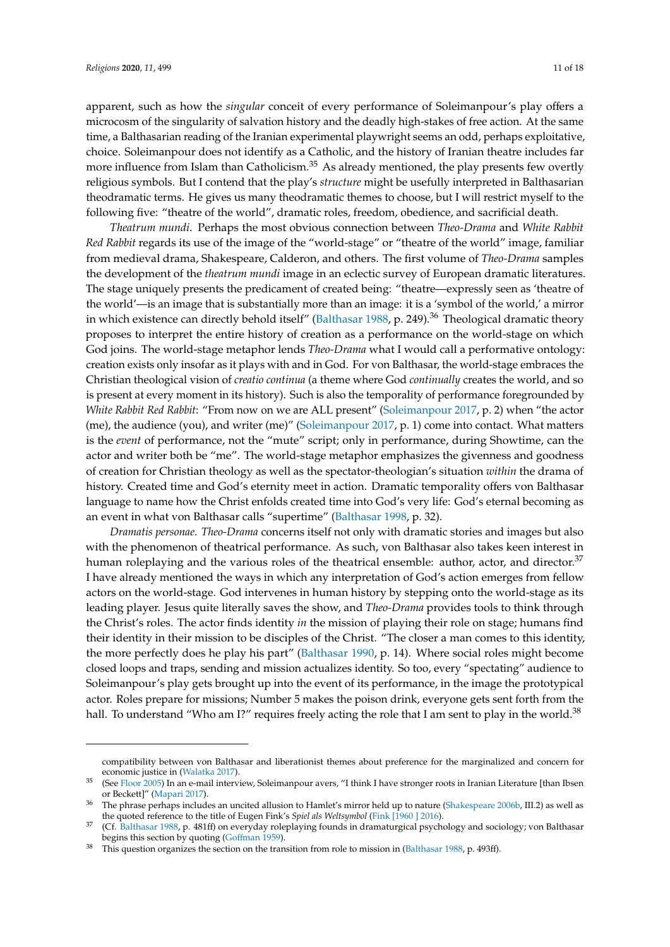apparent, such as how the *singular* conceit of every performance of Soleimanpour's play offers a microcosm of the singularity of salvation history and the deadly high-stakes of free action. At the same time, a Balthasarian reading of the Iranian experimental playwright seems an odd, perhaps exploitative, choice. Soleimanpour does not identify as a Catholic, and the history of Iranian theatre includes far more influence from Islam than Catholicism.<sup>35</sup> As already mentioned, the play presents few overtly religious symbols. But I contend that the play's *structure* might be usefully interpreted in Balthasarian theodramatic terms. He gives us many theodramatic themes to choose, but I will restrict myself to the following five: "theatre of the world", dramatic roles, freedom, obedience, and sacrificial death.

*Theatrum mundi*. Perhaps the most obvious connection between *Theo-Drama* and *White Rabbit Red Rabbit* regards its use of the image of the "world-stage" or "theatre of the world" image, familiar from medieval drama, Shakespeare, Calderon, and others. The first volume of *Theo-Drama* samples the development of the *theatrum mundi* image in an eclectic survey of European dramatic literatures. The stage uniquely presents the predicament of created being: "theatre—expressly seen as 'theatre of the world'—is an image that is substantially more than an image: it is a 'symbol of the world,' a mirror in which existence can directly behold itself" [\(Balthasar](#page-17-0) [1988,](#page-17-0) p. 249).<sup>36</sup> Theological dramatic theory proposes to interpret the entire history of creation as a performance on the world-stage on which God joins. The world-stage metaphor lends *Theo-Drama* what I would call a performative ontology: creation exists only insofar as it plays with and in God. For von Balthasar, the world-stage embraces the Christian theological vision of *creatio continua* (a theme where God *continually* creates the world, and so is present at every moment in its history). Such is also the temporality of performance foregrounded by *White Rabbit Red Rabbit*: "From now on we are ALL present" [\(Soleimanpour](#page-18-0) [2017,](#page-18-0) p. 2) when "the actor (me), the audience (you), and writer (me)" [\(Soleimanpour](#page-18-0) [2017,](#page-18-0) p. 1) come into contact. What matters is the *event* of performance, not the "mute" script; only in performance, during Showtime, can the actor and writer both be "me". The world-stage metaphor emphasizes the givenness and goodness of creation for Christian theology as well as the spectator-theologian's situation *within* the drama of history. Created time and God's eternity meet in action. Dramatic temporality offers von Balthasar language to name how the Christ enfolds created time into God's very life: God's eternal becoming as an event in what von Balthasar calls "supertime" [\(Balthasar](#page-17-4) [1998,](#page-17-4) p. 32).

*Dramatis personae*. *Theo-Drama* concerns itself not only with dramatic stories and images but also with the phenomenon of theatrical performance. As such, von Balthasar also takes keen interest in human roleplaying and the various roles of the theatrical ensemble: author, actor, and director.<sup>37</sup> I have already mentioned the ways in which any interpretation of God's action emerges from fellow actors on the world-stage. God intervenes in human history by stepping onto the world-stage as its leading player. Jesus quite literally saves the show, and *Theo-Drama* provides tools to think through the Christ's roles. The actor finds identity *in* the mission of playing their role on stage; humans find their identity in their mission to be disciples of the Christ. "The closer a man comes to this identity, the more perfectly does he play his part" [\(Balthasar](#page-17-1) [1990,](#page-17-1) p. 14). Where social roles might become closed loops and traps, sending and mission actualizes identity. So too, every "spectating" audience to Soleimanpour's play gets brought up into the event of its performance, in the image the prototypical actor. Roles prepare for missions; Number 5 makes the poison drink, everyone gets sent forth from the hall. To understand "Who am I?" requires freely acting the role that I am sent to play in the world.<sup>38</sup>

compatibility between von Balthasar and liberationist themes about preference for the marginalized and concern for economic justice in [\(Walatka](#page-18-21) [2017\)](#page-18-21).

<sup>&</sup>lt;sup>35</sup> (See [Floor](#page-17-24) [2005\)](#page-17-24) In an e-mail interview, Soleimanpour avers, "I think I have stronger roots in Iranian Literature [than Ibsen or Beckett]" [\(Mapari](#page-18-22) [2017\)](#page-18-22).

<sup>36</sup> The phrase perhaps includes an uncited allusion to Hamlet's mirror held up to nature [\(Shakespeare](#page-18-11) [2006b,](#page-18-11) III.2) as well as the quoted reference to the title of Eugen Fink's *Spiel als Weltsymbol* [\(Fink \[1960 \]](#page-17-25) [2016\)](#page-17-25).

<sup>37</sup> (Cf. [Balthasar](#page-17-0) [1988,](#page-17-0) p. 481ff) on everyday roleplaying founds in dramaturgical psychology and sociology; von Balthasar begins this section by quoting (Goff[man](#page-17-26) [1959\)](#page-17-26).

<sup>38</sup> This question organizes the section on the transition from role to mission in [\(Balthasar](#page-17-0) [1988,](#page-17-0) p. 493ff).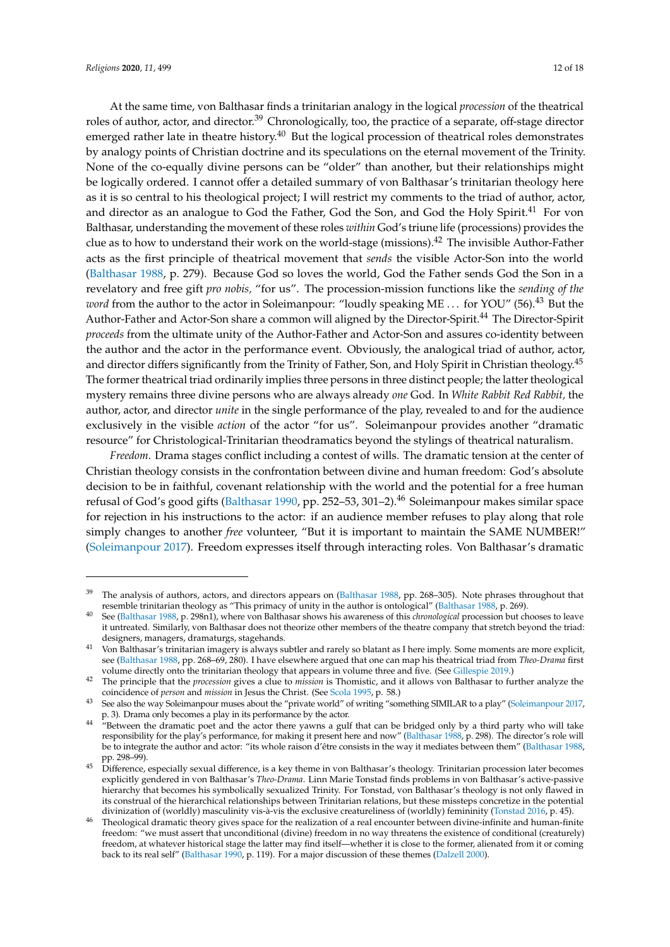At the same time, von Balthasar finds a trinitarian analogy in the logical *procession* of the theatrical roles of author, actor, and director.<sup>39</sup> Chronologically, too, the practice of a separate, off-stage director emerged rather late in theatre history.<sup>40</sup> But the logical procession of theatrical roles demonstrates by analogy points of Christian doctrine and its speculations on the eternal movement of the Trinity. None of the co-equally divine persons can be "older" than another, but their relationships might be logically ordered. I cannot offer a detailed summary of von Balthasar's trinitarian theology here as it is so central to his theological project; I will restrict my comments to the triad of author, actor, and director as an analogue to God the Father, God the Son, and God the Holy Spirit.<sup>41</sup> For von Balthasar, understanding the movement of these roles *within* God's triune life (processions) provides the clue as to how to understand their work on the world-stage (missions).<sup>42</sup> The invisible Author-Father acts as the first principle of theatrical movement that *sends* the visible Actor-Son into the world [\(Balthasar](#page-17-0) [1988,](#page-17-0) p. 279). Because God so loves the world, God the Father sends God the Son in a revelatory and free gift *pro nobis,* "for us". The procession-mission functions like the *sending of the word* from the author to the actor in Soleimanpour: "loudly speaking ME ... for YOU" (56).<sup>43</sup> But the Author-Father and Actor-Son share a common will aligned by the Director-Spirit.<sup>44</sup> The Director-Spirit *proceeds* from the ultimate unity of the Author-Father and Actor-Son and assures co-identity between the author and the actor in the performance event. Obviously, the analogical triad of author, actor, and director differs significantly from the Trinity of Father, Son, and Holy Spirit in Christian theology.<sup>45</sup> The former theatrical triad ordinarily implies three persons in three distinct people; the latter theological mystery remains three divine persons who are always already *one* God. In *White Rabbit Red Rabbit,* the author, actor, and director *unite* in the single performance of the play, revealed to and for the audience exclusively in the visible *action* of the actor "for us". Soleimanpour provides another "dramatic resource" for Christological-Trinitarian theodramatics beyond the stylings of theatrical naturalism.

*Freedom*. Drama stages conflict including a contest of wills. The dramatic tension at the center of Christian theology consists in the confrontation between divine and human freedom: God's absolute decision to be in faithful, covenant relationship with the world and the potential for a free human refusal of God's good gifts [\(Balthasar](#page-17-1) [1990,](#page-17-1) pp. 252–53, 301–2).<sup>46</sup> Soleimanpour makes similar space for rejection in his instructions to the actor: if an audience member refuses to play along that role simply changes to another *free* volunteer, "But it is important to maintain the SAME NUMBER!" [\(Soleimanpour](#page-18-0) [2017\)](#page-18-0). Freedom expresses itself through interacting roles. Von Balthasar's dramatic

<sup>&</sup>lt;sup>39</sup> The analysis of authors, actors, and directors appears on [\(Balthasar](#page-17-0) [1988,](#page-17-0) pp. 268–305). Note phrases throughout that resemble trinitarian theology as "This primacy of unity in the author is ontological" [\(Balthasar](#page-17-0) [1988,](#page-17-0) p. 269).

<sup>40</sup> See [\(Balthasar](#page-17-0) [1988,](#page-17-0) p. 298n1), where von Balthasar shows his awareness of this *chronological* procession but chooses to leave it untreated. Similarly, von Balthasar does not theorize other members of the theatre company that stretch beyond the triad: designers, managers, dramaturgs, stagehands.

<sup>41</sup> Von Balthasar's trinitarian imagery is always subtler and rarely so blatant as I here imply. Some moments are more explicit, see [\(Balthasar](#page-17-0) [1988,](#page-17-0) pp. 268–69, 280). I have elsewhere argued that one can map his theatrical triad from *Theo-Drama* first volume directly onto the trinitarian theology that appears in volume three and five. (See [Gillespie](#page-17-27) [2019.](#page-17-27))

<sup>42</sup> The principle that the *procession* gives a clue to *mission* is Thomistic, and it allows von Balthasar to further analyze the coincidence of *person* and *mission* in Jesus the Christ. (See [Scola](#page-18-23) [1995,](#page-18-23) p. 58.)

<sup>43</sup> See also the way Soleimanpour muses about the "private world" of writing "something SIMILAR to a play" [\(Soleimanpour](#page-18-0) [2017,](#page-18-0) p. 3). Drama only becomes a play in its performance by the actor.

 $44$  "Between the dramatic poet and the actor there yawns a gulf that can be bridged only by a third party who will take responsibility for the play's performance, for making it present here and now" [\(Balthasar](#page-17-0) [1988,](#page-17-0) p. 298). The director's role will be to integrate the author and actor: "its whole raison d'être consists in the way it mediates between them" [\(Balthasar](#page-17-0) [1988,](#page-17-0) pp. 298–99).

<sup>45</sup> Difference, especially sexual difference, is a key theme in von Balthasar's theology. Trinitarian procession later becomes explicitly gendered in von Balthasar's *Theo-Drama*. Linn Marie Tonstad finds problems in von Balthasar's active-passive hierarchy that becomes his symbolically sexualized Trinity. For Tonstad, von Balthasar's theology is not only flawed in its construal of the hierarchical relationships between Trinitarian relations, but these missteps concretize in the potential divinization of (worldly) masculinity vis-à-vis the exclusive creatureliness of (worldly) femininity [\(Tonstad](#page-18-24) [2016,](#page-18-24) p. 45).

<sup>46</sup> Theological dramatic theory gives space for the realization of a real encounter between divine-infinite and human-finite freedom: "we must assert that unconditional (divine) freedom in no way threatens the existence of conditional (creaturely) freedom, at whatever historical stage the latter may find itself—whether it is close to the former, alienated from it or coming back to its real self" [\(Balthasar](#page-17-1) [1990,](#page-17-1) p. 119). For a major discussion of these themes [\(Dalzell](#page-17-28) [2000\)](#page-17-28).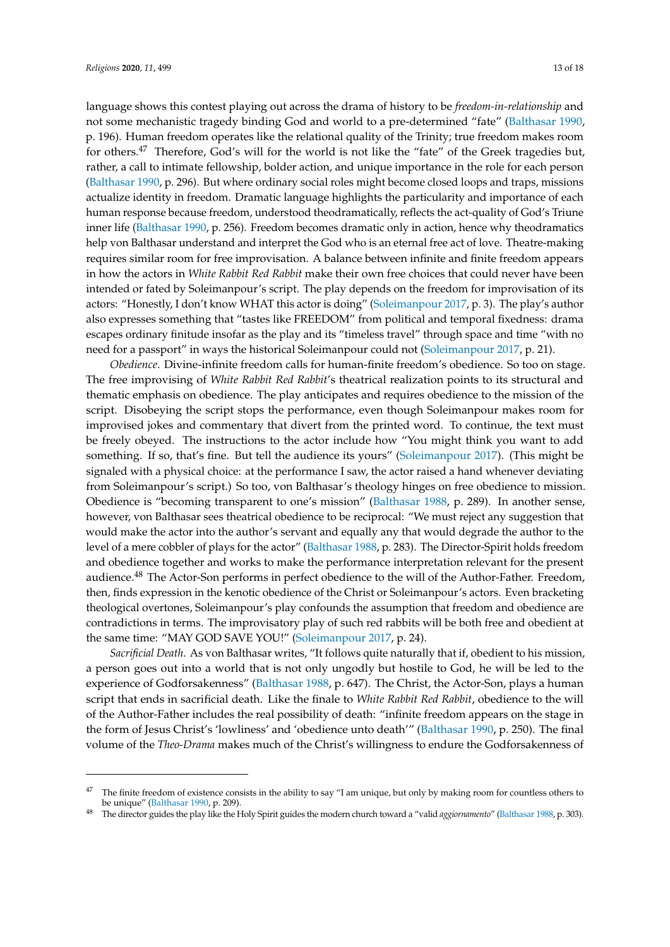language shows this contest playing out across the drama of history to be *freedom-in-relationship* and not some mechanistic tragedy binding God and world to a pre-determined "fate" [\(Balthasar](#page-17-1) [1990,](#page-17-1) p. 196). Human freedom operates like the relational quality of the Trinity; true freedom makes room for others.<sup>47</sup> Therefore, God's will for the world is not like the "fate" of the Greek tragedies but, rather, a call to intimate fellowship, bolder action, and unique importance in the role for each person [\(Balthasar](#page-17-1) [1990,](#page-17-1) p. 296). But where ordinary social roles might become closed loops and traps, missions actualize identity in freedom. Dramatic language highlights the particularity and importance of each human response because freedom, understood theodramatically, reflects the act-quality of God's Triune inner life [\(Balthasar](#page-17-1) [1990,](#page-17-1) p. 256). Freedom becomes dramatic only in action, hence why theodramatics help von Balthasar understand and interpret the God who is an eternal free act of love. Theatre-making requires similar room for free improvisation. A balance between infinite and finite freedom appears in how the actors in *White Rabbit Red Rabbit* make their own free choices that could never have been intended or fated by Soleimanpour's script. The play depends on the freedom for improvisation of its actors: "Honestly, I don't know WHAT this actor is doing" [\(Soleimanpour](#page-18-0) [2017,](#page-18-0) p. 3). The play's author also expresses something that "tastes like FREEDOM" from political and temporal fixedness: drama escapes ordinary finitude insofar as the play and its "timeless travel" through space and time "with no need for a passport" in ways the historical Soleimanpour could not [\(Soleimanpour](#page-18-0) [2017,](#page-18-0) p. 21).

*Obedience*. Divine-infinite freedom calls for human-finite freedom's obedience. So too on stage. The free improvising of *White Rabbit Red Rabbit*'s theatrical realization points to its structural and thematic emphasis on obedience. The play anticipates and requires obedience to the mission of the script. Disobeying the script stops the performance, even though Soleimanpour makes room for improvised jokes and commentary that divert from the printed word. To continue, the text must be freely obeyed. The instructions to the actor include how "You might think you want to add something. If so, that's fine. But tell the audience its yours" [\(Soleimanpour](#page-18-0) [2017\)](#page-18-0). (This might be signaled with a physical choice: at the performance I saw, the actor raised a hand whenever deviating from Soleimanpour's script.) So too, von Balthasar's theology hinges on free obedience to mission. Obedience is "becoming transparent to one's mission" [\(Balthasar](#page-17-0) [1988,](#page-17-0) p. 289). In another sense, however, von Balthasar sees theatrical obedience to be reciprocal: "We must reject any suggestion that would make the actor into the author's servant and equally any that would degrade the author to the level of a mere cobbler of plays for the actor" [\(Balthasar](#page-17-0) [1988,](#page-17-0) p. 283). The Director-Spirit holds freedom and obedience together and works to make the performance interpretation relevant for the present audience.<sup>48</sup> The Actor-Son performs in perfect obedience to the will of the Author-Father. Freedom, then, finds expression in the kenotic obedience of the Christ or Soleimanpour's actors. Even bracketing theological overtones, Soleimanpour's play confounds the assumption that freedom and obedience are contradictions in terms. The improvisatory play of such red rabbits will be both free and obedient at the same time: "MAY GOD SAVE YOU!" [\(Soleimanpour](#page-18-0) [2017,](#page-18-0) p. 24).

*Sacrificial Death*. As von Balthasar writes, "It follows quite naturally that if, obedient to his mission, a person goes out into a world that is not only ungodly but hostile to God, he will be led to the experience of Godforsakenness" [\(Balthasar](#page-17-0) [1988,](#page-17-0) p. 647). The Christ, the Actor-Son, plays a human script that ends in sacrificial death. Like the finale to *White Rabbit Red Rabbit*, obedience to the will of the Author-Father includes the real possibility of death: "infinite freedom appears on the stage in the form of Jesus Christ's 'lowliness' and 'obedience unto death'" [\(Balthasar](#page-17-1) [1990,](#page-17-1) p. 250). The final volume of the *Theo-Drama* makes much of the Christ's willingness to endure the Godforsakenness of

<sup>&</sup>lt;sup>47</sup> The finite freedom of existence consists in the ability to say "I am unique, but only by making room for countless others to be unique" [\(Balthasar](#page-17-1) [1990,](#page-17-1) p. 209).

<sup>48</sup> The director guides the play like the Holy Spirit guides the modern church toward a "valid *aggiornamento*" [\(Balthasar](#page-17-0) [1988,](#page-17-0) p. 303).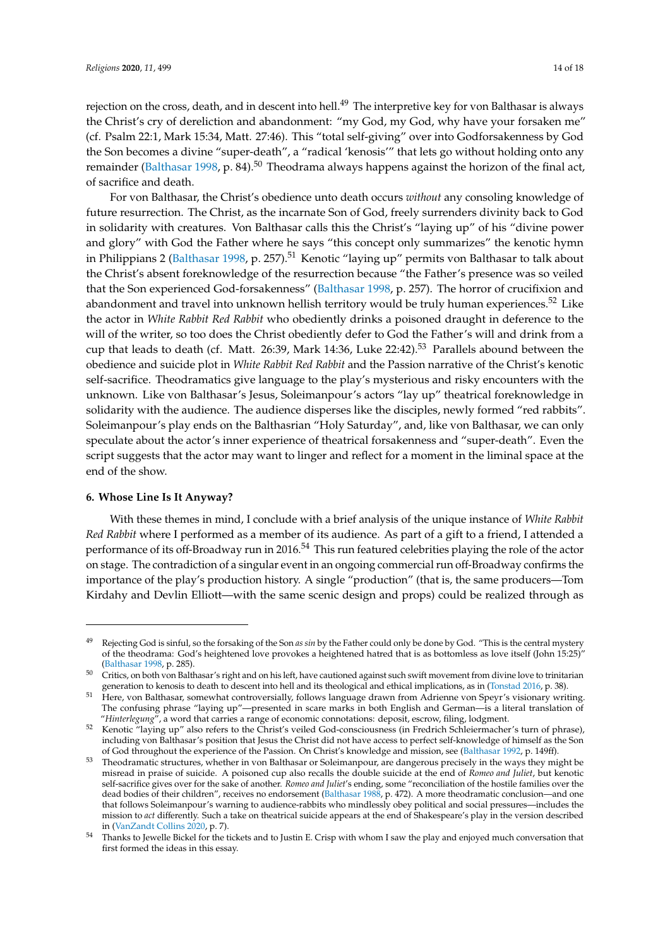rejection on the cross, death, and in descent into hell.<sup>49</sup> The interpretive key for von Balthasar is always the Christ's cry of dereliction and abandonment: "my God, my God, why have your forsaken me" (cf. Psalm 22:1, Mark 15:34, Matt. 27:46). This "total self-giving" over into Godforsakenness by God the Son becomes a divine "super-death", a "radical 'kenosis'" that lets go without holding onto any remainder [\(Balthasar](#page-17-4) [1998,](#page-17-4) p. 84).<sup>50</sup> Theodrama always happens against the horizon of the final act, of sacrifice and death.

For von Balthasar, the Christ's obedience unto death occurs *without* any consoling knowledge of future resurrection. The Christ, as the incarnate Son of God, freely surrenders divinity back to God in solidarity with creatures. Von Balthasar calls this the Christ's "laying up" of his "divine power and glory" with God the Father where he says "this concept only summarizes" the kenotic hymn in Philippians 2 [\(Balthasar](#page-17-4) [1998,](#page-17-4) p. 257).<sup>51</sup> Kenotic "laying up" permits von Balthasar to talk about the Christ's absent foreknowledge of the resurrection because "the Father's presence was so veiled that the Son experienced God-forsakenness" [\(Balthasar](#page-17-4) [1998,](#page-17-4) p. 257). The horror of crucifixion and abandonment and travel into unknown hellish territory would be truly human experiences.<sup>52</sup> Like the actor in *White Rabbit Red Rabbit* who obediently drinks a poisoned draught in deference to the will of the writer, so too does the Christ obediently defer to God the Father's will and drink from a cup that leads to death (cf. Matt. 26:39, Mark 14:36, Luke  $22:42$ ).<sup>53</sup> Parallels abound between the obedience and suicide plot in *White Rabbit Red Rabbit* and the Passion narrative of the Christ's kenotic self-sacrifice. Theodramatics give language to the play's mysterious and risky encounters with the unknown. Like von Balthasar's Jesus, Soleimanpour's actors "lay up" theatrical foreknowledge in solidarity with the audience. The audience disperses like the disciples, newly formed "red rabbits". Soleimanpour's play ends on the Balthasrian "Holy Saturday", and, like von Balthasar, we can only speculate about the actor's inner experience of theatrical forsakenness and "super-death". Even the script suggests that the actor may want to linger and reflect for a moment in the liminal space at the end of the show.

#### **6. Whose Line Is It Anyway?**

With these themes in mind, I conclude with a brief analysis of the unique instance of *White Rabbit Red Rabbit* where I performed as a member of its audience. As part of a gift to a friend, I attended a performance of its off-Broadway run in 2016.<sup>54</sup> This run featured celebrities playing the role of the actor on stage. The contradiction of a singular event in an ongoing commercial run off-Broadway confirms the importance of the play's production history. A single "production" (that is, the same producers—Tom Kirdahy and Devlin Elliott—with the same scenic design and props) could be realized through as

<sup>49</sup> Rejecting God is sinful, so the forsaking of the Son *as sin* by the Father could only be done by God. "This is the central mystery of the theodrama: God's heightened love provokes a heightened hatred that is as bottomless as love itself (John 15:25)" [\(Balthasar](#page-17-4) [1998,](#page-17-4) p. 285).

 $50$  Critics, on both von Balthasar's right and on his left, have cautioned against such swift movement from divine love to trinitarian generation to kenosis to death to descent into hell and its theological and ethical implications, as in [\(Tonstad](#page-18-24) [2016,](#page-18-24) p. 38).

<sup>51</sup> Here, von Balthasar, somewhat controversially, follows language drawn from Adrienne von Speyr's visionary writing. The confusing phrase "laying up"—presented in scare marks in both English and German—is a literal translation of "*Hinterlegung*", a word that carries a range of economic connotations: deposit, escrow, filing, lodgment.

<sup>52</sup> Kenotic "laying up" also refers to the Christ's veiled God-consciousness (in Fredrich Schleiermacher's turn of phrase), including von Balthasar's position that Jesus the Christ did not have access to perfect self-knowledge of himself as the Son of God throughout the experience of the Passion. On Christ's knowledge and mission, see [\(Balthasar](#page-17-2) [1992,](#page-17-2) p. 149ff).

<sup>53</sup> Theodramatic structures, whether in von Balthasar or Soleimanpour, are dangerous precisely in the ways they might be misread in praise of suicide. A poisoned cup also recalls the double suicide at the end of *Romeo and Juliet*, but kenotic self-sacrifice gives over for the sake of another. *Romeo and Juliet*'s ending, some "reconciliation of the hostile families over the dead bodies of their children", receives no endorsement [\(Balthasar](#page-17-0) [1988,](#page-17-0) p. 472). A more theodramatic conclusion—and one that follows Soleimanpour's warning to audience-rabbits who mindlessly obey political and social pressures—includes the mission to *act* differently. Such a take on theatrical suicide appears at the end of Shakespeare's play in the version described in [\(VanZandt Collins](#page-18-25) [2020,](#page-18-25) p. 7).

 $54$  Thanks to Jewelle Bickel for the tickets and to Justin E. Crisp with whom I saw the play and enjoyed much conversation that first formed the ideas in this essay.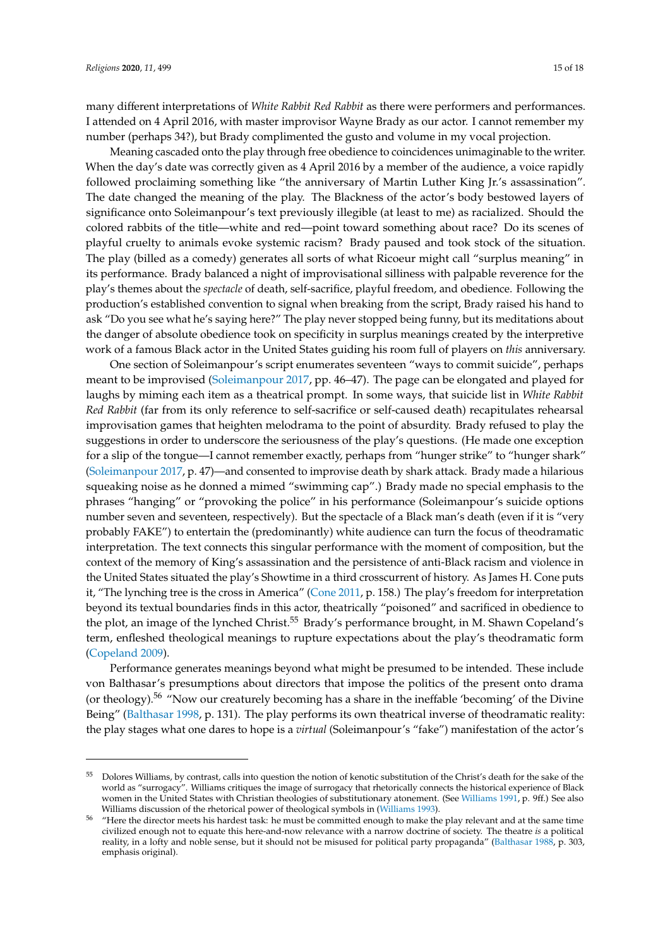many different interpretations of *White Rabbit Red Rabbit* as there were performers and performances. I attended on 4 April 2016, with master improvisor Wayne Brady as our actor. I cannot remember my number (perhaps 34?), but Brady complimented the gusto and volume in my vocal projection.

Meaning cascaded onto the play through free obedience to coincidences unimaginable to the writer. When the day's date was correctly given as 4 April 2016 by a member of the audience, a voice rapidly followed proclaiming something like "the anniversary of Martin Luther King Jr.'s assassination". The date changed the meaning of the play. The Blackness of the actor's body bestowed layers of significance onto Soleimanpour's text previously illegible (at least to me) as racialized. Should the colored rabbits of the title—white and red—point toward something about race? Do its scenes of playful cruelty to animals evoke systemic racism? Brady paused and took stock of the situation. The play (billed as a comedy) generates all sorts of what Ricoeur might call "surplus meaning" in its performance. Brady balanced a night of improvisational silliness with palpable reverence for the play's themes about the *spectacle* of death, self-sacrifice, playful freedom, and obedience. Following the production's established convention to signal when breaking from the script, Brady raised his hand to ask "Do you see what he's saying here?" The play never stopped being funny, but its meditations about the danger of absolute obedience took on specificity in surplus meanings created by the interpretive work of a famous Black actor in the United States guiding his room full of players on *this* anniversary.

One section of Soleimanpour's script enumerates seventeen "ways to commit suicide", perhaps meant to be improvised [\(Soleimanpour](#page-18-0) [2017,](#page-18-0) pp. 46–47). The page can be elongated and played for laughs by miming each item as a theatrical prompt. In some ways, that suicide list in *White Rabbit Red Rabbit* (far from its only reference to self-sacrifice or self-caused death) recapitulates rehearsal improvisation games that heighten melodrama to the point of absurdity. Brady refused to play the suggestions in order to underscore the seriousness of the play's questions. (He made one exception for a slip of the tongue—I cannot remember exactly, perhaps from "hunger strike" to "hunger shark" [\(Soleimanpour](#page-18-0) [2017,](#page-18-0) p. 47)—and consented to improvise death by shark attack. Brady made a hilarious squeaking noise as he donned a mimed "swimming cap".) Brady made no special emphasis to the phrases "hanging" or "provoking the police" in his performance (Soleimanpour's suicide options number seven and seventeen, respectively). But the spectacle of a Black man's death (even if it is "very probably FAKE") to entertain the (predominantly) white audience can turn the focus of theodramatic interpretation. The text connects this singular performance with the moment of composition, but the context of the memory of King's assassination and the persistence of anti-Black racism and violence in the United States situated the play's Showtime in a third crosscurrent of history. As James H. Cone puts it, "The lynching tree is the cross in America" [\(Cone](#page-17-29) [2011,](#page-17-29) p. 158.) The play's freedom for interpretation beyond its textual boundaries finds in this actor, theatrically "poisoned" and sacrificed in obedience to the plot, an image of the lynched Christ.<sup>55</sup> Brady's performance brought, in M. Shawn Copeland's term, enfleshed theological meanings to rupture expectations about the play's theodramatic form [\(Copeland](#page-17-30) [2009\)](#page-17-30).

Performance generates meanings beyond what might be presumed to be intended. These include von Balthasar's presumptions about directors that impose the politics of the present onto drama (or theology).<sup>56</sup> "Now our creaturely becoming has a share in the ineffable 'becoming' of the Divine Being" [\(Balthasar](#page-17-4) [1998,](#page-17-4) p. 131). The play performs its own theatrical inverse of theodramatic reality: the play stages what one dares to hope is a *virtual* (Soleimanpour's "fake") manifestation of the actor's

<sup>&</sup>lt;sup>55</sup> Dolores Williams, by contrast, calls into question the notion of kenotic substitution of the Christ's death for the sake of the world as "surrogacy". Williams critiques the image of surrogacy that rhetorically connects the historical experience of Black women in the United States with Christian theologies of substitutionary atonement. (See [Williams](#page-18-26) [1991,](#page-18-26) p. 9ff.) See also Williams discussion of the rhetorical power of theological symbols in [\(Williams](#page-18-27) [1993\)](#page-18-27).

<sup>&</sup>lt;sup>56</sup> "Here the director meets his hardest task: he must be committed enough to make the play relevant and at the same time civilized enough not to equate this here-and-now relevance with a narrow doctrine of society. The theatre *is* a political reality, in a lofty and noble sense, but it should not be misused for political party propaganda" [\(Balthasar](#page-17-0) [1988,](#page-17-0) p. 303, emphasis original).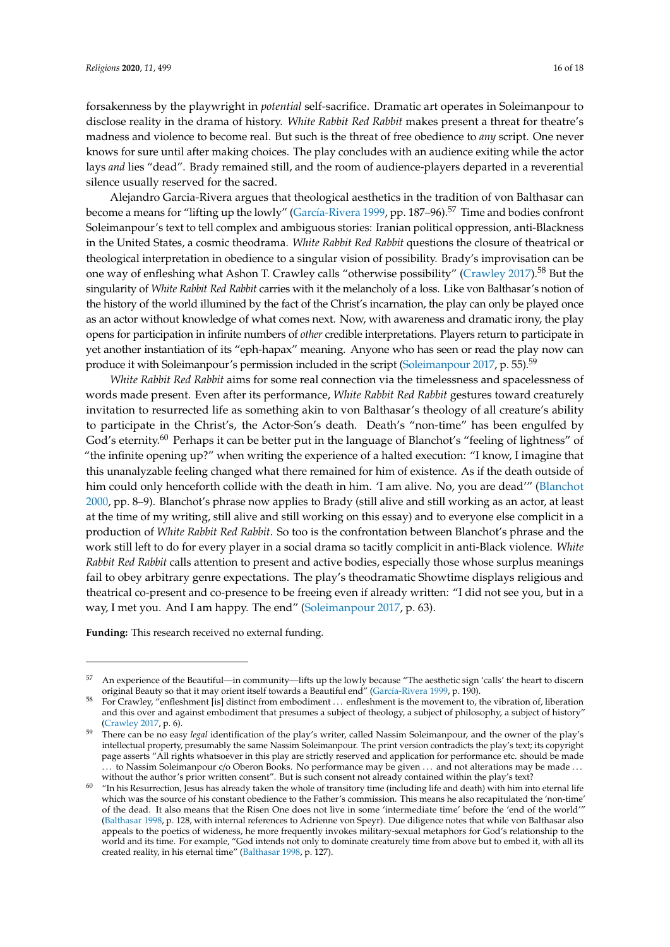forsakenness by the playwright in *potential* self-sacrifice. Dramatic art operates in Soleimanpour to disclose reality in the drama of history. *White Rabbit Red Rabbit* makes present a threat for theatre's madness and violence to become real. But such is the threat of free obedience to *any* script. One never knows for sure until after making choices. The play concludes with an audience exiting while the actor lays *and* lies "dead". Brady remained still, and the room of audience-players departed in a reverential silence usually reserved for the sacred.

Alejandro Garcia-Rivera argues that theological aesthetics in the tradition of von Balthasar can become a means for "lifting up the lowly" (Garcí[a-Rivera](#page-17-31) [1999,](#page-17-31) pp. 187–96).<sup>57</sup> Time and bodies confront Soleimanpour's text to tell complex and ambiguous stories: Iranian political oppression, anti-Blackness in the United States, a cosmic theodrama. *White Rabbit Red Rabbit* questions the closure of theatrical or theological interpretation in obedience to a singular vision of possibility. Brady's improvisation can be one way of enfleshing what Ashon T. Crawley calls "otherwise possibility" [\(Crawley](#page-17-32) [2017\)](#page-17-32).<sup>58</sup> But the singularity of *White Rabbit Red Rabbit* carries with it the melancholy of a loss. Like von Balthasar's notion of the history of the world illumined by the fact of the Christ's incarnation, the play can only be played once as an actor without knowledge of what comes next. Now, with awareness and dramatic irony, the play opens for participation in infinite numbers of *other* credible interpretations. Players return to participate in yet another instantiation of its "eph-hapax" meaning. Anyone who has seen or read the play now can produce it with Soleimanpour's permission included in the script [\(Soleimanpour](#page-18-0) [2017,](#page-18-0) p. 55).<sup>59</sup>

*White Rabbit Red Rabbit* aims for some real connection via the timelessness and spacelessness of words made present. Even after its performance, *White Rabbit Red Rabbit* gestures toward creaturely invitation to resurrected life as something akin to von Balthasar's theology of all creature's ability to participate in the Christ's, the Actor-Son's death. Death's "non-time" has been engulfed by God's eternity.<sup>60</sup> Perhaps it can be better put in the language of Blanchot's "feeling of lightness" of "the infinite opening up?" when writing the experience of a halted execution: "I know, I imagine that this unanalyzable feeling changed what there remained for him of existence. As if the death outside of him could only henceforth collide with the death in him. 'I am alive. No, you are dead''' [\(Blanchot](#page-17-33) [2000,](#page-17-33) pp. 8–9). Blanchot's phrase now applies to Brady (still alive and still working as an actor, at least at the time of my writing, still alive and still working on this essay) and to everyone else complicit in a production of *White Rabbit Red Rabbit*. So too is the confrontation between Blanchot's phrase and the work still left to do for every player in a social drama so tacitly complicit in anti-Black violence. *White Rabbit Red Rabbit* calls attention to present and active bodies, especially those whose surplus meanings fail to obey arbitrary genre expectations. The play's theodramatic Showtime displays religious and theatrical co-present and co-presence to be freeing even if already written: "I did not see you, but in a way, I met you. And I am happy. The end" [\(Soleimanpour](#page-18-0) [2017,](#page-18-0) p. 63).

**Funding:** This research received no external funding.

<sup>57</sup> An experience of the Beautiful—in community—lifts up the lowly because "The aesthetic sign 'calls' the heart to discern original Beauty so that it may orient itself towards a Beautiful end" (Garcí[a-Rivera](#page-17-31) [1999,](#page-17-31) p. 190).

<sup>58</sup> For Crawley, "enfleshment [is] distinct from embodiment . . . enfleshment is the movement to, the vibration of, liberation and this over and against embodiment that presumes a subject of theology, a subject of philosophy, a subject of history" [\(Crawley](#page-17-32) [2017,](#page-17-32) p. 6).

<sup>59</sup> There can be no easy *legal* identification of the play's writer, called Nassim Soleimanpour, and the owner of the play's intellectual property, presumably the same Nassim Soleimanpour. The print version contradicts the play's text; its copyright page asserts "All rights whatsoever in this play are strictly reserved and application for performance etc. should be made ... to Nassim Soleimanpour c/o Oberon Books. No performance may be given ... and not alterations may be made ... without the author's prior written consent". But is such consent not already contained within the play's text?

 $60$  "In his Resurrection, Jesus has already taken the whole of transitory time (including life and death) with him into eternal life which was the source of his constant obedience to the Father's commission. This means he also recapitulated the 'non-time' of the dead. It also means that the Risen One does not live in some 'intermediate time' before the 'end of the world'" [\(Balthasar](#page-17-4) [1998,](#page-17-4) p. 128, with internal references to Adrienne von Speyr). Due diligence notes that while von Balthasar also appeals to the poetics of wideness, he more frequently invokes military-sexual metaphors for God's relationship to the world and its time. For example, "God intends not only to dominate creaturely time from above but to embed it, with all its created reality, in his eternal time" [\(Balthasar](#page-17-4) [1998,](#page-17-4) p. 127).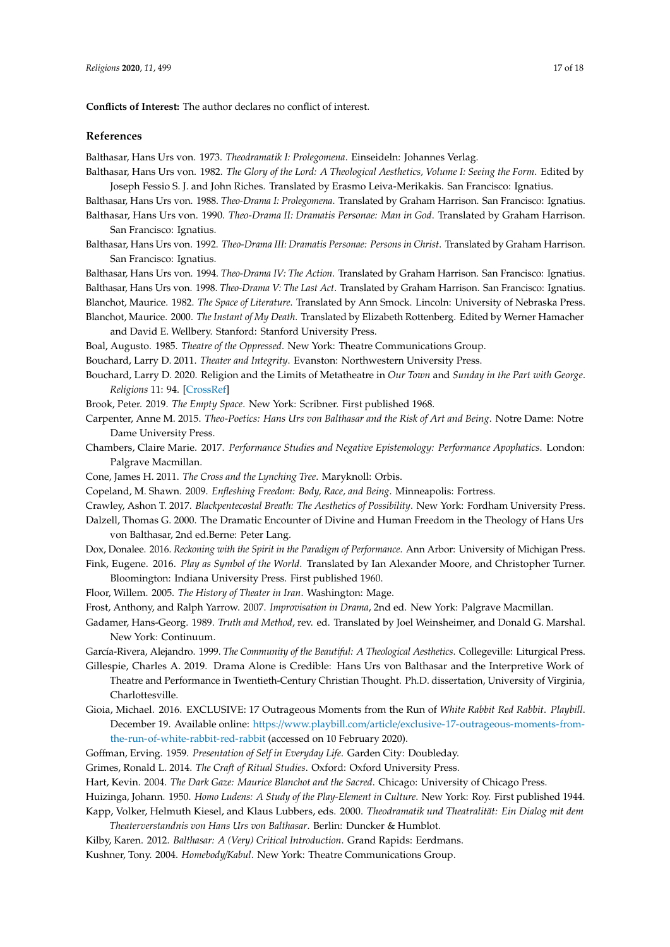**Conflicts of Interest:** The author declares no conflict of interest.

#### **References**

<span id="page-17-6"></span>Balthasar, Hans Urs von. 1973. *Theodramatik I: Prolegomena*. Einseideln: Johannes Verlag.

<span id="page-17-5"></span>Balthasar, Hans Urs von. 1982. *The Glory of the Lord: A Theological Aesthetics, Volume I: Seeing the Form*. Edited by Joseph Fessio S. J. and John Riches. Translated by Erasmo Leiva-Merikakis. San Francisco: Ignatius.

<span id="page-17-0"></span>Balthasar, Hans Urs von. 1988. *Theo-Drama I: Prolegomena*. Translated by Graham Harrison. San Francisco: Ignatius.

<span id="page-17-1"></span>Balthasar, Hans Urs von. 1990. *Theo-Drama II: Dramatis Personae: Man in God*. Translated by Graham Harrison. San Francisco: Ignatius.

- <span id="page-17-2"></span>Balthasar, Hans Urs von. 1992. *Theo-Drama III: Dramatis Personae: Persons in Christ*. Translated by Graham Harrison. San Francisco: Ignatius.
- <span id="page-17-3"></span>Balthasar, Hans Urs von. 1994. *Theo-Drama IV: The Action*. Translated by Graham Harrison. San Francisco: Ignatius.

<span id="page-17-19"></span><span id="page-17-4"></span>Balthasar, Hans Urs von. 1998. *Theo-Drama V: The Last Act*. Translated by Graham Harrison. San Francisco: Ignatius.

Blanchot, Maurice. 1982. *The Space of Literature*. Translated by Ann Smock. Lincoln: University of Nebraska Press.

- <span id="page-17-33"></span>Blanchot, Maurice. 2000. *The Instant of My Death*. Translated by Elizabeth Rottenberg. Edited by Werner Hamacher and David E. Wellbery. Stanford: Stanford University Press.
- <span id="page-17-11"></span>Boal, Augusto. 1985. *Theatre of the Oppressed*. New York: Theatre Communications Group.
- <span id="page-17-18"></span>Bouchard, Larry D. 2011. *Theater and Integrity*. Evanston: Northwestern University Press.
- <span id="page-17-10"></span>Bouchard, Larry D. 2020. Religion and the Limits of Metatheatre in *Our Town* and *Sunday in the Part with George*. *Religions* 11: 94. [\[CrossRef\]](http://dx.doi.org/10.3390/rel11020094)

<span id="page-17-13"></span>Brook, Peter. 2019. *The Empty Space*. New York: Scribner. First published 1968.

- <span id="page-17-20"></span>Carpenter, Anne M. 2015. *Theo-Poetics: Hans Urs von Balthasar and the Risk of Art and Being*. Notre Dame: Notre Dame University Press.
- <span id="page-17-17"></span>Chambers, Claire Marie. 2017. *Performance Studies and Negative Epistemology: Performance Apophatics*. London: Palgrave Macmillan.
- <span id="page-17-29"></span>Cone, James H. 2011. *The Cross and the Lynching Tree*. Maryknoll: Orbis.
- <span id="page-17-30"></span>Copeland, M. Shawn. 2009. *Enfleshing Freedom: Body, Race, and Being*. Minneapolis: Fortress.
- <span id="page-17-32"></span><span id="page-17-28"></span>Crawley, Ashon T. 2017. *Blackpentecostal Breath: The Aesthetics of Possibility*. New York: Fordham University Press.
- Dalzell, Thomas G. 2000. The Dramatic Encounter of Divine and Human Freedom in the Theology of Hans Urs von Balthasar, 2nd ed.Berne: Peter Lang.
- <span id="page-17-25"></span><span id="page-17-8"></span>Dox, Donalee. 2016. *Reckoning with the Spirit in the Paradigm of Performance*. Ann Arbor: University of Michigan Press.
- Fink, Eugene. 2016. *Play as Symbol of the World*. Translated by Ian Alexander Moore, and Christopher Turner. Bloomington: Indiana University Press. First published 1960.
- <span id="page-17-24"></span>Floor, Willem. 2005. *The History of Theater in Iran*. Washington: Mage.
- <span id="page-17-21"></span>Frost, Anthony, and Ralph Yarrow. 2007. *Improvisation in Drama*, 2nd ed. New York: Palgrave Macmillan.
- <span id="page-17-15"></span>Gadamer, Hans-Georg. 1989. *Truth and Method*, rev. ed. Translated by Joel Weinsheimer, and Donald G. Marshal. New York: Continuum.

<span id="page-17-31"></span>García-Rivera, Alejandro. 1999. *The Community of the Beautiful: A Theological Aesthetics*. Collegeville: Liturgical Press.

- <span id="page-17-27"></span>Gillespie, Charles A. 2019. Drama Alone is Credible: Hans Urs von Balthasar and the Interpretive Work of Theatre and Performance in Twentieth-Century Christian Thought. Ph.D. dissertation, University of Virginia, Charlottesville.
- <span id="page-17-12"></span>Gioia, Michael. 2016. EXCLUSIVE: 17 Outrageous Moments from the Run of *White Rabbit Red Rabbit*. *Playbill*. December 19. Available online: https://www.playbill.com/article/[exclusive-17-outrageous-moments-from](https://www.playbill.com/article/exclusive-17-outrageous-moments-from-the-run-of-white-rabbit-red-rabbit)[the-run-of-white-rabbit-red-rabbit](https://www.playbill.com/article/exclusive-17-outrageous-moments-from-the-run-of-white-rabbit-red-rabbit) (accessed on 10 February 2020).
- <span id="page-17-26"></span><span id="page-17-9"></span>Goffman, Erving. 1959. *Presentation of Self in Everyday Life*. Garden City: Doubleday.
- Grimes, Ronald L. 2014. *The Craft of Ritual Studies*. Oxford: Oxford University Press.
- <span id="page-17-16"></span>Hart, Kevin. 2004. *The Dark Gaze: Maurice Blanchot and the Sacred*. Chicago: University of Chicago Press.

<span id="page-17-14"></span>Huizinga, Johann. 1950. *Homo Ludens: A Study of the Play-Element in Culture*. New York: Roy. First published 1944.

<span id="page-17-23"></span>Kapp, Volker, Helmuth Kiesel, and Klaus Lubbers, eds. 2000. *Theodramatik und Theatralität: Ein Dialog mit dem Theaterverstandnis von Hans Urs von Balthasar*. Berlin: Duncker & Humblot.

<span id="page-17-22"></span>Kilby, Karen. 2012. *Balthasar: A (Very) Critical Introduction*. Grand Rapids: Eerdmans.

<span id="page-17-7"></span>Kushner, Tony. 2004. *Homebody*/*Kabul*. New York: Theatre Communications Group.